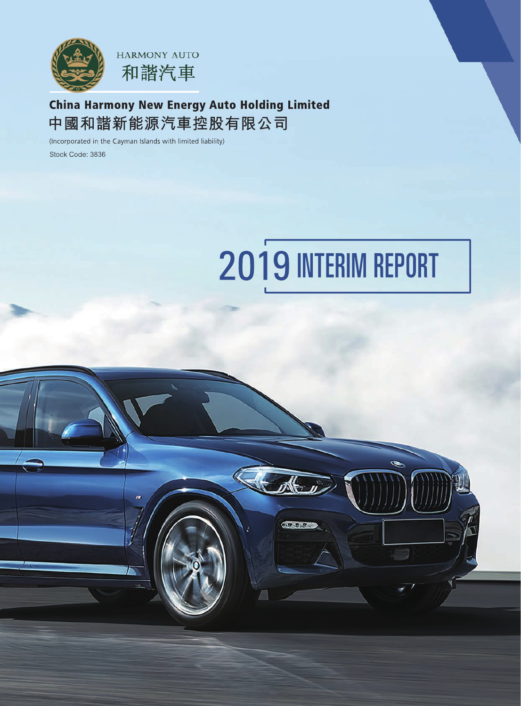

## **China Harmony New Energy Auto Holding Limited** 中國和諧新能源汽車控股有限公司

(Incorporated in the Cayman Islands with limited liability) Stock Code: 3836

# 2019 INTERIM REPORT

**NUMBER**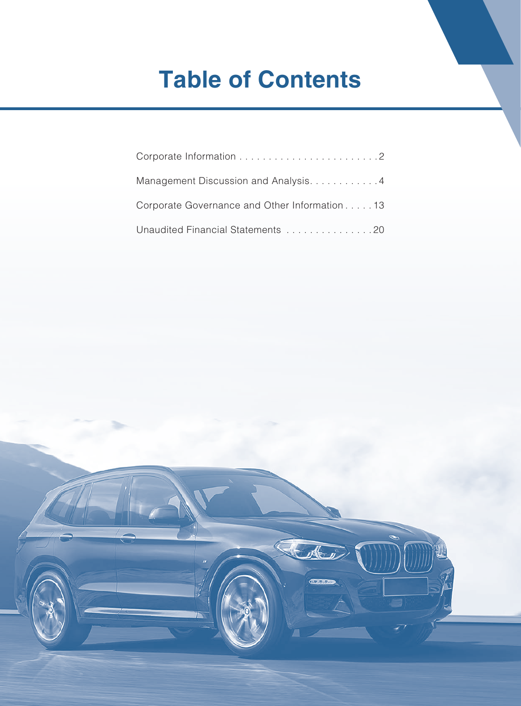# **Table of Contents**

| Management Discussion and Analysis4           |
|-----------------------------------------------|
| Corporate Governance and Other Information 13 |
| Unaudited Financial Statements 20             |

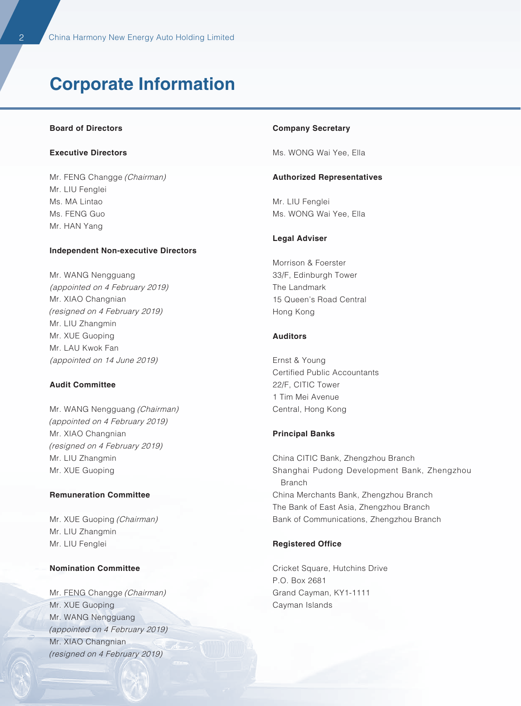# **Corporate Information**

#### **Board of Directors**

#### **Executive Directors**

Mr. FENG Changge (Chairman) Mr. LIU Fenglei Ms. MA Lintao Ms. FENG Guo Mr. HAN Yang

#### **Independent Non-executive Directors**

Mr. WANG Nengguang (appointed on 4 February 2019) Mr. XIAO Changnian (resigned on 4 February 2019) Mr. LIU Zhangmin Mr. XUE Guoping Mr. LAU Kwok Fan (appointed on 14 June 2019)

#### **Audit Committee**

Mr. WANG Nengguang (Chairman) (appointed on 4 February 2019) Mr. XIAO Changnian (resigned on 4 February 2019) Mr. LIU Zhangmin Mr. XUE Guoping

#### **Remuneration Committee**

Mr. XUE Guoping (Chairman) Mr. LIU Zhangmin Mr. LIU Fenglei

#### **Nomination Committee**

Mr. FENG Changge (Chairman) Mr. XUE Guoping Mr. WANG Nengguang (appointed on 4 February 2019) Mr. XIAO Changnian (resigned on 4 February 2019)

#### **Company Secretary**

Ms. WONG Wai Yee, Ella

#### **Authorized Representatives**

Mr. LIU Fenglei Ms. WONG Wai Yee, Ella

#### **Legal Adviser**

Morrison & Foerster 33/F, Edinburgh Tower The Landmark 15 Queen's Road Central Hong Kong

#### **Auditors**

Ernst & Young Certified Public Accountants 22/F, CITIC Tower 1 Tim Mei Avenue Central, Hong Kong

#### **Principal Banks**

China CITIC Bank, Zhengzhou Branch Shanghai Pudong Development Bank, Zhengzhou Branch China Merchants Bank, Zhengzhou Branch The Bank of East Asia, Zhengzhou Branch Bank of Communications, Zhengzhou Branch

#### **Registered Office**

Cricket Square, Hutchins Drive P.O. Box 2681 Grand Cayman, KY1-1111 Cayman Islands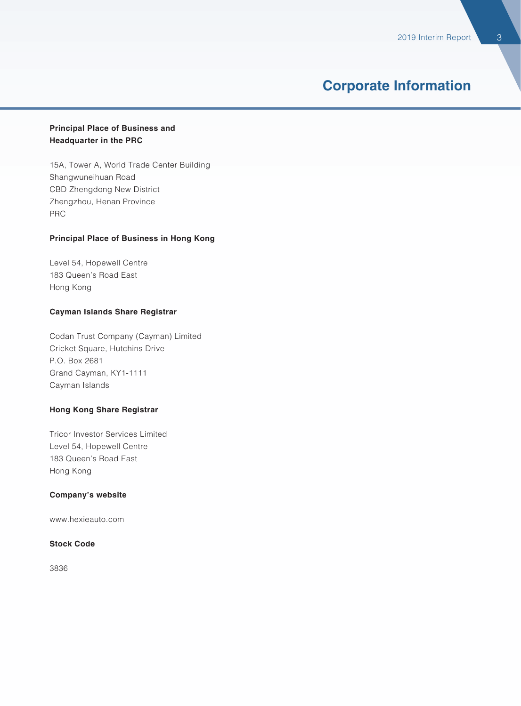### **Corporate Information**

#### **Principal Place of Business and Headquarter in the PRC**

15A, Tower A, World Trade Center Building Shangwuneihuan Road CBD Zhengdong New District Zhengzhou, Henan Province PRC

#### **Principal Place of Business in Hong Kong**

Level 54, Hopewell Centre 183 Queen's Road East Hong Kong

#### **Cayman Islands Share Registrar**

Codan Trust Company (Cayman) Limited Cricket Square, Hutchins Drive P.O. Box 2681 Grand Cayman, KY1-1111 Cayman Islands

#### **Hong Kong Share Registrar**

Tricor Investor Services Limited Level 54, Hopewell Centre 183 Queen's Road East Hong Kong

#### **Company's website**

www.hexieauto.com

#### **Stock Code**

3836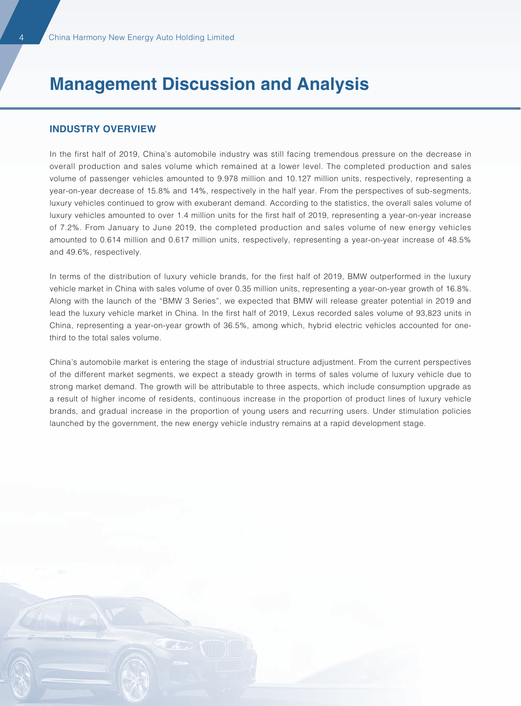#### **INDUSTRY OVERVIEW**

In the first half of 2019, China's automobile industry was still facing tremendous pressure on the decrease in overall production and sales volume which remained at a lower level. The completed production and sales volume of passenger vehicles amounted to 9.978 million and 10.127 million units, respectively, representing a year-on-year decrease of 15.8% and 14%, respectively in the half year. From the perspectives of sub-segments, luxury vehicles continued to grow with exuberant demand. According to the statistics, the overall sales volume of luxury vehicles amounted to over 1.4 million units for the first half of 2019, representing a year-on-year increase of 7.2%. From January to June 2019, the completed production and sales volume of new energy vehicles amounted to 0.614 million and 0.617 million units, respectively, representing a year-on-year increase of 48.5% and 49.6%, respectively.

In terms of the distribution of luxury vehicle brands, for the first half of 2019, BMW outperformed in the luxury vehicle market in China with sales volume of over 0.35 million units, representing a year-on-year growth of 16.8%. Along with the launch of the "BMW 3 Series", we expected that BMW will release greater potential in 2019 and lead the luxury vehicle market in China. In the first half of 2019, Lexus recorded sales volume of 93,823 units in China, representing a year-on-year growth of 36.5%, among which, hybrid electric vehicles accounted for onethird to the total sales volume.

China's automobile market is entering the stage of industrial structure adjustment. From the current perspectives of the different market segments, we expect a steady growth in terms of sales volume of luxury vehicle due to strong market demand. The growth will be attributable to three aspects, which include consumption upgrade as a result of higher income of residents, continuous increase in the proportion of product lines of luxury vehicle brands, and gradual increase in the proportion of young users and recurring users. Under stimulation policies launched by the government, the new energy vehicle industry remains at a rapid development stage.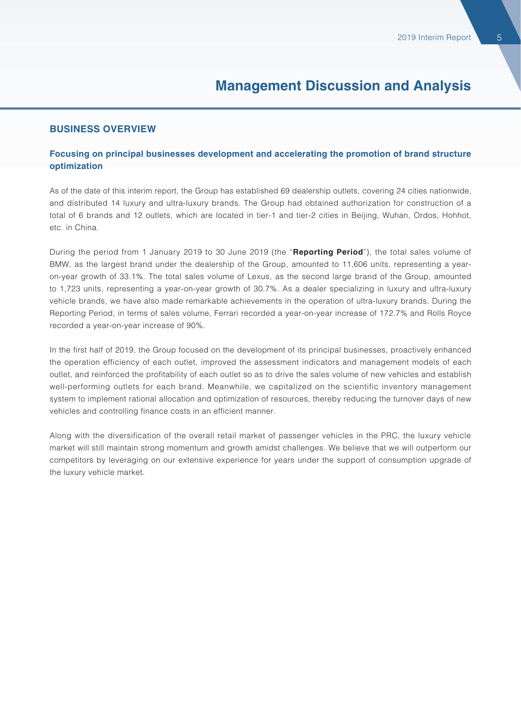#### **BUSINESS OVERVIEW**

#### **Focusing on principal businesses development and accelerating the promotion of brand structure optimization**

As of the date of this interim report, the Group has established 69 dealership outlets, covering 24 cities nationwide, and distributed 14 luxury and ultra-luxury brands. The Group had obtained authorization for construction of a total of 6 brands and 12 outlets, which are located in tier-1 and tier-2 cities in Beijing, Wuhan, Ordos, Hohhot, etc. in China.

During the period from 1 January 2019 to 30 June 2019 (the "**Reporting Period**"), the total sales volume of BMW, as the largest brand under the dealership of the Group, amounted to 11,606 units, representing a yearon-year growth of 33.1%. The total sales volume of Lexus, as the second large brand of the Group, amounted to 1,723 units, representing a year-on-year growth of 30.7%. As a dealer specializing in luxury and ultra-luxury vehicle brands, we have also made remarkable achievements in the operation of ultra-luxury brands. During the Reporting Period, in terms of sales volume, Ferrari recorded a year-on-year increase of 172.7% and Rolls Royce recorded a year-on-year increase of 90%.

In the first half of 2019, the Group focused on the development of its principal businesses, proactively enhanced the operation efficiency of each outlet, improved the assessment indicators and management models of each outlet, and reinforced the profitability of each outlet so as to drive the sales volume of new vehicles and establish well-performing outlets for each brand. Meanwhile, we capitalized on the scientific inventory management system to implement rational allocation and optimization of resources, thereby reducing the turnover days of new vehicles and controlling finance costs in an efficient manner.

Along with the diversification of the overall retail market of passenger vehicles in the PRC, the luxury vehicle market will still maintain strong momentum and growth amidst challenges. We believe that we will outperform our competitors by leveraging on our extensive experience for years under the support of consumption upgrade of the luxury vehicle market.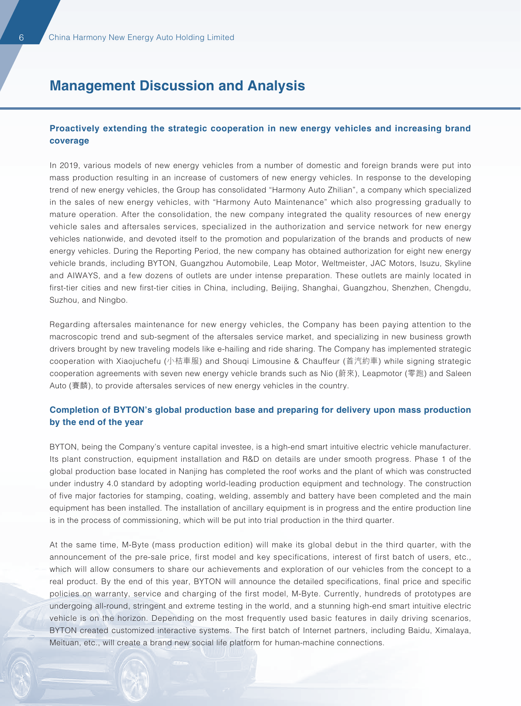#### **Proactively extending the strategic cooperation in new energy vehicles and increasing brand coverage**

In 2019, various models of new energy vehicles from a number of domestic and foreign brands were put into mass production resulting in an increase of customers of new energy vehicles. In response to the developing trend of new energy vehicles, the Group has consolidated "Harmony Auto Zhilian", a company which specialized in the sales of new energy vehicles, with "Harmony Auto Maintenance" which also progressing gradually to mature operation. After the consolidation, the new company integrated the quality resources of new energy vehicle sales and aftersales services, specialized in the authorization and service network for new energy vehicles nationwide, and devoted itself to the promotion and popularization of the brands and products of new energy vehicles. During the Reporting Period, the new company has obtained authorization for eight new energy vehicle brands, including BYTON, Guangzhou Automobile, Leap Motor, Weltmeister, JAC Motors, Isuzu, Skyline and AIWAYS, and a few dozens of outlets are under intense preparation. These outlets are mainly located in first-tier cities and new first-tier cities in China, including, Beijing, Shanghai, Guangzhou, Shenzhen, Chengdu, Suzhou, and Ningbo.

Regarding aftersales maintenance for new energy vehicles, the Company has been paying attention to the macroscopic trend and sub-segment of the aftersales service market, and specializing in new business growth drivers brought by new traveling models like e-hailing and ride sharing. The Company has implemented strategic cooperation with Xiaojuchefu (小桔車服) and Shouqi Limousine & Chauffeur (首汽約車) while signing strategic cooperation agreements with seven new energy vehicle brands such as Nio (蔚來), Leapmotor (零跑) and Saleen Auto (賽麟), to provide aftersales services of new energy vehicles in the country.

#### **Completion of BYTON's global production base and preparing for delivery upon mass production by the end of the year**

BYTON, being the Company's venture capital investee, is a high-end smart intuitive electric vehicle manufacturer. Its plant construction, equipment installation and R&D on details are under smooth progress. Phase 1 of the global production base located in Nanjing has completed the roof works and the plant of which was constructed under industry 4.0 standard by adopting world-leading production equipment and technology. The construction of five major factories for stamping, coating, welding, assembly and battery have been completed and the main equipment has been installed. The installation of ancillary equipment is in progress and the entire production line is in the process of commissioning, which will be put into trial production in the third quarter.

At the same time, M-Byte (mass production edition) will make its global debut in the third quarter, with the announcement of the pre-sale price, first model and key specifications, interest of first batch of users, etc., which will allow consumers to share our achievements and exploration of our vehicles from the concept to a real product. By the end of this year, BYTON will announce the detailed specifications, final price and specific policies on warranty, service and charging of the first model, M-Byte. Currently, hundreds of prototypes are undergoing all-round, stringent and extreme testing in the world, and a stunning high-end smart intuitive electric vehicle is on the horizon. Depending on the most frequently used basic features in daily driving scenarios, BYTON created customized interactive systems. The first batch of Internet partners, including Baidu, Ximalaya, Meituan, etc., will create a brand new social life platform for human-machine connections.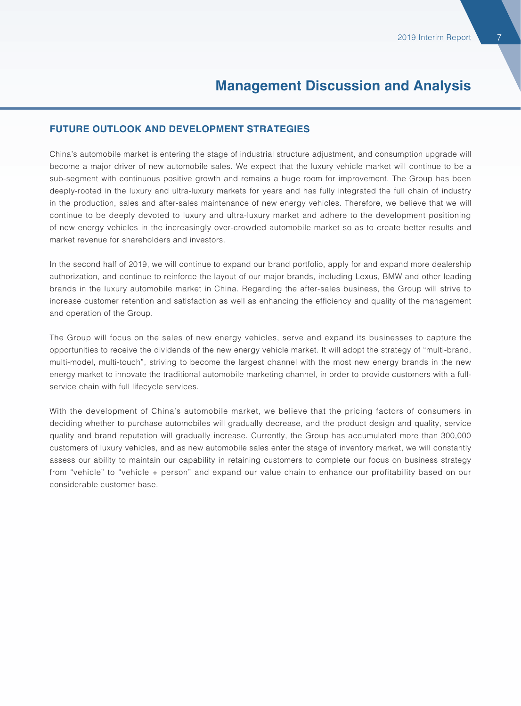#### **FUTURE OUTLOOK AND DEVELOPMENT STRATEGIES**

China's automobile market is entering the stage of industrial structure adjustment, and consumption upgrade will become a major driver of new automobile sales. We expect that the luxury vehicle market will continue to be a sub-segment with continuous positive growth and remains a huge room for improvement. The Group has been deeply-rooted in the luxury and ultra-luxury markets for years and has fully integrated the full chain of industry in the production, sales and after-sales maintenance of new energy vehicles. Therefore, we believe that we will continue to be deeply devoted to luxury and ultra-luxury market and adhere to the development positioning of new energy vehicles in the increasingly over-crowded automobile market so as to create better results and market revenue for shareholders and investors.

In the second half of 2019, we will continue to expand our brand portfolio, apply for and expand more dealership authorization, and continue to reinforce the layout of our major brands, including Lexus, BMW and other leading brands in the luxury automobile market in China. Regarding the after-sales business, the Group will strive to increase customer retention and satisfaction as well as enhancing the efficiency and quality of the management and operation of the Group.

The Group will focus on the sales of new energy vehicles, serve and expand its businesses to capture the opportunities to receive the dividends of the new energy vehicle market. It will adopt the strategy of "multi-brand, multi-model, multi-touch", striving to become the largest channel with the most new energy brands in the new energy market to innovate the traditional automobile marketing channel, in order to provide customers with a fullservice chain with full lifecycle services.

With the development of China's automobile market, we believe that the pricing factors of consumers in deciding whether to purchase automobiles will gradually decrease, and the product design and quality, service quality and brand reputation will gradually increase. Currently, the Group has accumulated more than 300,000 customers of luxury vehicles, and as new automobile sales enter the stage of inventory market, we will constantly assess our ability to maintain our capability in retaining customers to complete our focus on business strategy from "vehicle" to "vehicle + person" and expand our value chain to enhance our profitability based on our considerable customer base.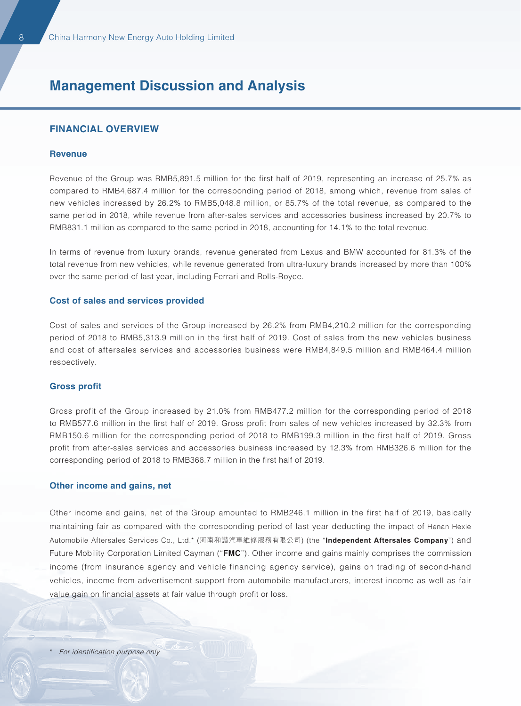#### **FINANCIAL OVERVIEW**

#### **Revenue**

Revenue of the Group was RMB5,891.5 million for the first half of 2019, representing an increase of 25.7% as compared to RMB4,687.4 million for the corresponding period of 2018, among which, revenue from sales of new vehicles increased by 26.2% to RMB5,048.8 million, or 85.7% of the total revenue, as compared to the same period in 2018, while revenue from after-sales services and accessories business increased by 20.7% to RMB831.1 million as compared to the same period in 2018, accounting for 14.1% to the total revenue.

In terms of revenue from luxury brands, revenue generated from Lexus and BMW accounted for 81.3% of the total revenue from new vehicles, while revenue generated from ultra-luxury brands increased by more than 100% over the same period of last year, including Ferrari and Rolls-Royce.

#### **Cost of sales and services provided**

Cost of sales and services of the Group increased by 26.2% from RMB4,210.2 million for the corresponding period of 2018 to RMB5,313.9 million in the first half of 2019. Cost of sales from the new vehicles business and cost of aftersales services and accessories business were RMB4,849.5 million and RMB464.4 million respectively.

#### **Gross profit**

Gross profit of the Group increased by 21.0% from RMB477.2 million for the corresponding period of 2018 to RMB577.6 million in the first half of 2019. Gross profit from sales of new vehicles increased by 32.3% from RMB150.6 million for the corresponding period of 2018 to RMB199.3 million in the first half of 2019. Gross profit from after-sales services and accessories business increased by 12.3% from RMB326.6 million for the corresponding period of 2018 to RMB366.7 million in the first half of 2019.

#### **Other income and gains, net**

Other income and gains, net of the Group amounted to RMB246.1 million in the first half of 2019, basically maintaining fair as compared with the corresponding period of last year deducting the impact of Henan Hexie Automobile Aftersales Services Co., Ltd.\* (河南和諧汽車維修服務有限公司) (the "**Independent Aftersales Company**") and Future Mobility Corporation Limited Cayman ("**FMC**"). Other income and gains mainly comprises the commission income (from insurance agency and vehicle financing agency service), gains on trading of second-hand vehicles, income from advertisement support from automobile manufacturers, interest income as well as fair value gain on financial assets at fair value through profit or loss.

For identification purpose only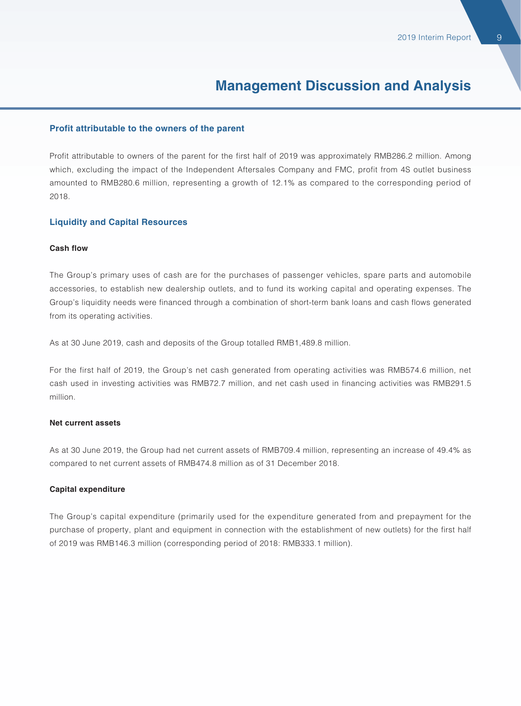#### **Profit attributable to the owners of the parent**

Profit attributable to owners of the parent for the first half of 2019 was approximately RMB286.2 million. Among which, excluding the impact of the Independent Aftersales Company and FMC, profit from 4S outlet business amounted to RMB280.6 million, representing a growth of 12.1% as compared to the corresponding period of 2018.

#### **Liquidity and Capital Resources**

#### **Cash flow**

The Group's primary uses of cash are for the purchases of passenger vehicles, spare parts and automobile accessories, to establish new dealership outlets, and to fund its working capital and operating expenses. The Group's liquidity needs were financed through a combination of short-term bank loans and cash flows generated from its operating activities.

As at 30 June 2019, cash and deposits of the Group totalled RMB1,489.8 million.

For the first half of 2019, the Group's net cash generated from operating activities was RMB574.6 million, net cash used in investing activities was RMB72.7 million, and net cash used in financing activities was RMB291.5 million.

#### **Net current assets**

As at 30 June 2019, the Group had net current assets of RMB709.4 million, representing an increase of 49.4% as compared to net current assets of RMB474.8 million as of 31 December 2018.

#### **Capital expenditure**

The Group's capital expenditure (primarily used for the expenditure generated from and prepayment for the purchase of property, plant and equipment in connection with the establishment of new outlets) for the first half of 2019 was RMB146.3 million (corresponding period of 2018: RMB333.1 million).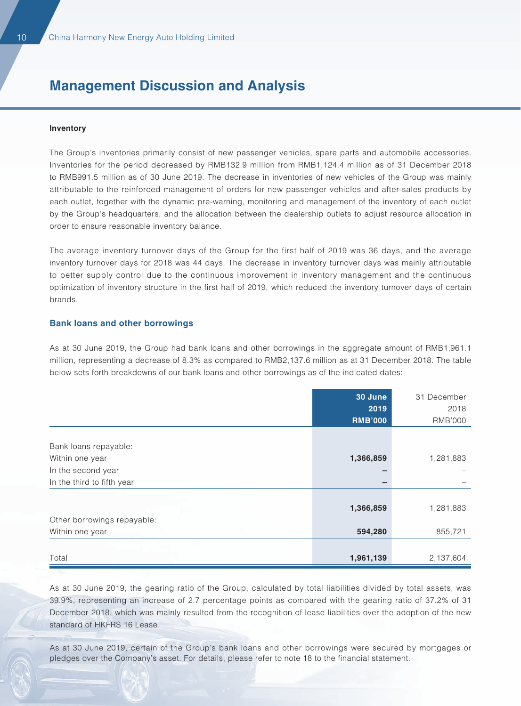#### **Inventory**

The Group's inventories primarily consist of new passenger vehicles, spare parts and automobile accessories. Inventories for the period decreased by RMB132.9 million from RMB1,124.4 million as of 31 December 2018 to RMB991.5 million as of 30 June 2019. The decrease in inventories of new vehicles of the Group was mainly attributable to the reinforced management of orders for new passenger vehicles and after-sales products by each outlet, together with the dynamic pre-warning, monitoring and management of the inventory of each outlet by the Group's headquarters, and the allocation between the dealership outlets to adjust resource allocation in order to ensure reasonable inventory balance.

The average inventory turnover days of the Group for the first half of 2019 was 36 days, and the average inventory turnover days for 2018 was 44 days. The decrease in inventory turnover days was mainly attributable to better supply control due to the continuous improvement in inventory management and the continuous optimization of inventory structure in the first half of 2019, which reduced the inventory turnover days of certain brands.

#### **Bank loans and other borrowings**

As at 30 June 2019, the Group had bank loans and other borrowings in the aggregate amount of RMB1,961.1 million, representing a decrease of 8.3% as compared to RMB2,137.6 million as at 31 December 2018. The table below sets forth breakdowns of our bank loans and other borrowings as of the indicated dates:

|                             | 30 June        | 31 December |
|-----------------------------|----------------|-------------|
|                             | 2019           | 2018        |
|                             | <b>RMB'000</b> | RMB'000     |
|                             |                |             |
| Bank loans repayable:       |                |             |
| Within one year             | 1,366,859      | 1,281,883   |
| In the second year          |                |             |
| In the third to fifth year  |                |             |
|                             |                |             |
|                             | 1,366,859      | 1,281,883   |
| Other borrowings repayable: |                |             |
| Within one year             | 594,280        | 855,721     |
|                             |                |             |
| Total                       | 1,961,139      | 2,137,604   |

As at 30 June 2019, the gearing ratio of the Group, calculated by total liabilities divided by total assets, was 39.9%, representing an increase of 2.7 percentage points as compared with the gearing ratio of 37.2% of 31 December 2018, which was mainly resulted from the recognition of lease liabilities over the adoption of the new standard of HKFRS 16 Lease.

As at 30 June 2019, certain of the Group's bank loans and other borrowings were secured by mortgages or pledges over the Company's asset. For details, please refer to note 18 to the financial statement.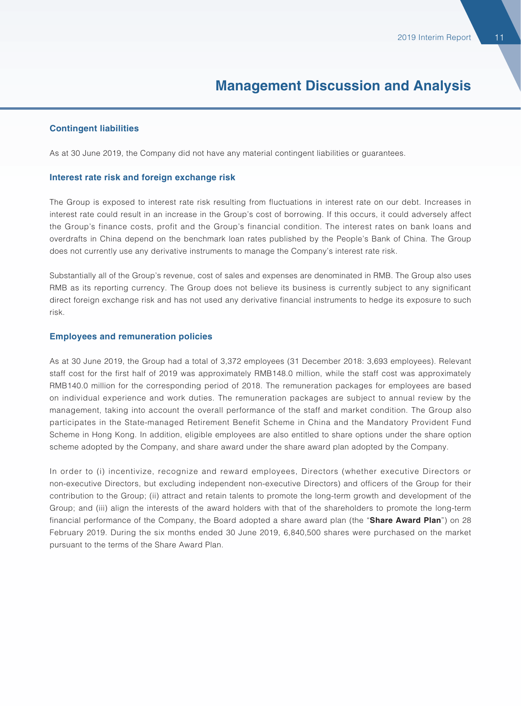#### **Contingent liabilities**

As at 30 June 2019, the Company did not have any material contingent liabilities or guarantees.

#### **Interest rate risk and foreign exchange risk**

The Group is exposed to interest rate risk resulting from fluctuations in interest rate on our debt. Increases in interest rate could result in an increase in the Group's cost of borrowing. If this occurs, it could adversely affect the Group's finance costs, profit and the Group's financial condition. The interest rates on bank loans and overdrafts in China depend on the benchmark loan rates published by the People's Bank of China. The Group does not currently use any derivative instruments to manage the Company's interest rate risk.

Substantially all of the Group's revenue, cost of sales and expenses are denominated in RMB. The Group also uses RMB as its reporting currency. The Group does not believe its business is currently subject to any significant direct foreign exchange risk and has not used any derivative financial instruments to hedge its exposure to such risk.

#### **Employees and remuneration policies**

As at 30 June 2019, the Group had a total of 3,372 employees (31 December 2018: 3,693 employees). Relevant staff cost for the first half of 2019 was approximately RMB148.0 million, while the staff cost was approximately RMB140.0 million for the corresponding period of 2018. The remuneration packages for employees are based on individual experience and work duties. The remuneration packages are subject to annual review by the management, taking into account the overall performance of the staff and market condition. The Group also participates in the State-managed Retirement Benefit Scheme in China and the Mandatory Provident Fund Scheme in Hong Kong. In addition, eligible employees are also entitled to share options under the share option scheme adopted by the Company, and share award under the share award plan adopted by the Company.

In order to (i) incentivize, recognize and reward employees, Directors (whether executive Directors or non-executive Directors, but excluding independent non-executive Directors) and officers of the Group for their contribution to the Group; (ii) attract and retain talents to promote the long-term growth and development of the Group; and (iii) align the interests of the award holders with that of the shareholders to promote the long-term financial performance of the Company, the Board adopted a share award plan (the "**Share Award Plan**") on 28 February 2019. During the six months ended 30 June 2019, 6,840,500 shares were purchased on the market pursuant to the terms of the Share Award Plan.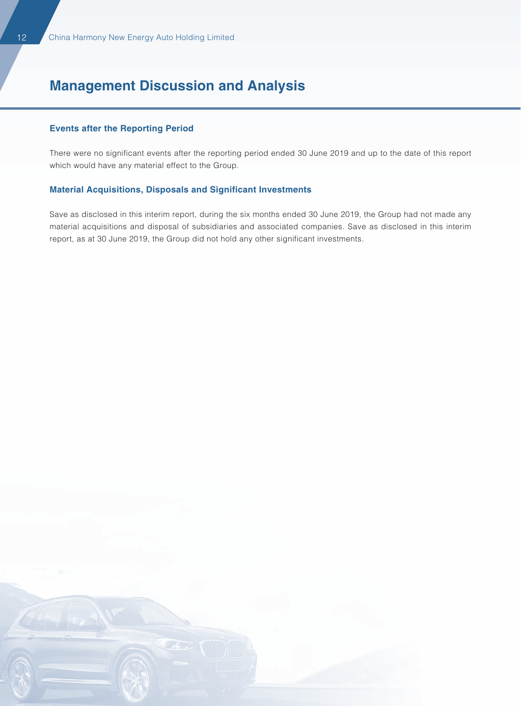#### **Events after the Reporting Period**

There were no significant events after the reporting period ended 30 June 2019 and up to the date of this report which would have any material effect to the Group.

#### **Material Acquisitions, Disposals and Significant Investments**

Save as disclosed in this interim report, during the six months ended 30 June 2019, the Group had not made any material acquisitions and disposal of subsidiaries and associated companies. Save as disclosed in this interim report, as at 30 June 2019, the Group did not hold any other significant investments.

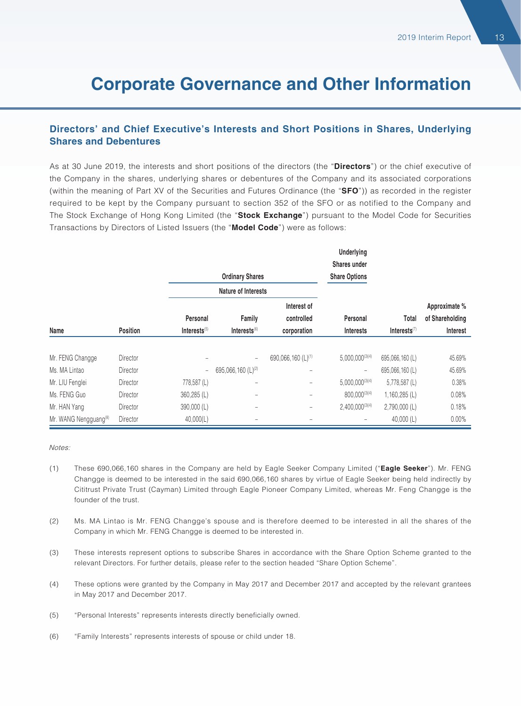#### **Directors' and Chief Executive's Interests and Short Positions in Shares, Underlying Shares and Debentures**

As at 30 June 2019, the interests and short positions of the directors (the "**Directors**") or the chief executive of the Company in the shares, underlying shares or debentures of the Company and its associated corporations (within the meaning of Part XV of the Securities and Futures Ordinance (the "**SFO**")) as recorded in the register required to be kept by the Company pursuant to section 352 of the SFO or as notified to the Company and The Stock Exchange of Hong Kong Limited (the "**Stock Exchange**") pursuant to the Model Code for Securities Transactions by Directors of Listed Issuers (the "**Model Code**") were as follows:

|                                   |                 |              |                                |                                | <b>Underlying</b>        |                            |                 |
|-----------------------------------|-----------------|--------------|--------------------------------|--------------------------------|--------------------------|----------------------------|-----------------|
|                                   |                 |              |                                |                                | Shares under             |                            |                 |
|                                   |                 |              | <b>Ordinary Shares</b>         |                                | <b>Share Options</b>     |                            |                 |
|                                   |                 |              | Nature of Interests            |                                |                          |                            |                 |
|                                   |                 |              |                                | Interest of                    |                          |                            | Approximate %   |
|                                   |                 | Personal     | Family                         | controlled                     | Personal                 | Total                      | of Shareholding |
| Name                              | <b>Position</b> | Interests(5) | Interests $(6)$                | corporation                    | <b>Interests</b>         | $Interests$ <sup>(7)</sup> | Interest        |
|                                   |                 |              |                                |                                |                          |                            |                 |
| Mr. FENG Changge                  | Director        |              | $\qquad \qquad -$              | 690,066,160 (L) <sup>(1)</sup> | $5,000,000^{(3)(4)}$     | 695,066,160 (L)            | 45.69%          |
| Ms. MA Lintao                     | Director        |              | 695,066,160 (L) <sup>(2)</sup> | -                              | $\overline{\phantom{m}}$ | 695,066,160 (L)            | 45.69%          |
| Mr. LIU Fenglei                   | Director        | 778,587 (L)  |                                | -                              | $5,000,000^{(3)(4)}$     | $5,778,587$ (L)            | 0.38%           |
| Ms. FENG Guo                      | Director        | 360,285 (L)  |                                | -                              | 800,000(3)(4)            | $1,160,285$ (L)            | 0.08%           |
| Mr. HAN Yang                      | Director        | 390,000 (L)  |                                | -                              | $2,400,000^{(3)(4)}$     | $2,790,000$ (L)            | 0.18%           |
| Mr. WANG Nengguang <sup>(8)</sup> | Director        | 40,000(L)    |                                |                                |                          | 40,000 (L)                 | 0.00%           |

#### Notes:

- (1) These 690,066,160 shares in the Company are held by Eagle Seeker Company Limited ("**Eagle Seeker**"). Mr. FENG Changge is deemed to be interested in the said 690,066,160 shares by virtue of Eagle Seeker being held indirectly by Cititrust Private Trust (Cayman) Limited through Eagle Pioneer Company Limited, whereas Mr. Feng Changge is the founder of the trust.
- (2) Ms. MA Lintao is Mr. FENG Changge's spouse and is therefore deemed to be interested in all the shares of the Company in which Mr. FENG Changge is deemed to be interested in.
- (3) These interests represent options to subscribe Shares in accordance with the Share Option Scheme granted to the relevant Directors. For further details, please refer to the section headed "Share Option Scheme".
- (4) These options were granted by the Company in May 2017 and December 2017 and accepted by the relevant grantees in May 2017 and December 2017.
- (5) "Personal Interests" represents interests directly beneficially owned.
- (6) "Family Interests" represents interests of spouse or child under 18.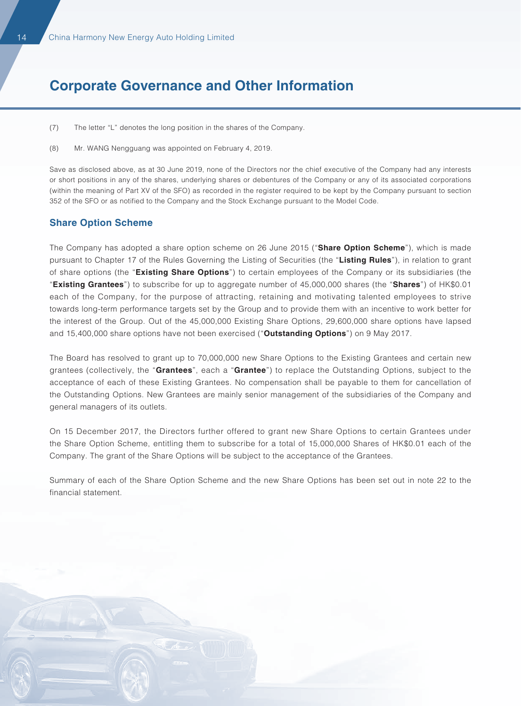- (7) The letter "L" denotes the long position in the shares of the Company.
- (8) Mr. WANG Nengguang was appointed on February 4, 2019.

Save as disclosed above, as at 30 June 2019, none of the Directors nor the chief executive of the Company had any interests or short positions in any of the shares, underlying shares or debentures of the Company or any of its associated corporations (within the meaning of Part XV of the SFO) as recorded in the register required to be kept by the Company pursuant to section 352 of the SFO or as notified to the Company and the Stock Exchange pursuant to the Model Code.

#### **Share Option Scheme**

The Company has adopted a share option scheme on 26 June 2015 ("**Share Option Scheme**"), which is made pursuant to Chapter 17 of the Rules Governing the Listing of Securities (the "**Listing Rules**"), in relation to grant of share options (the "**Existing Share Options**") to certain employees of the Company or its subsidiaries (the "**Existing Grantees**") to subscribe for up to aggregate number of 45,000,000 shares (the "**Shares**") of HK\$0.01 each of the Company, for the purpose of attracting, retaining and motivating talented employees to strive towards long-term performance targets set by the Group and to provide them with an incentive to work better for the interest of the Group. Out of the 45,000,000 Existing Share Options, 29,600,000 share options have lapsed and 15,400,000 share options have not been exercised ("**Outstanding Options**") on 9 May 2017.

The Board has resolved to grant up to 70,000,000 new Share Options to the Existing Grantees and certain new grantees (collectively, the "**Grantees**", each a "**Grantee**") to replace the Outstanding Options, subject to the acceptance of each of these Existing Grantees. No compensation shall be payable to them for cancellation of the Outstanding Options. New Grantees are mainly senior management of the subsidiaries of the Company and general managers of its outlets.

On 15 December 2017, the Directors further offered to grant new Share Options to certain Grantees under the Share Option Scheme, entitling them to subscribe for a total of 15,000,000 Shares of HK\$0.01 each of the Company. The grant of the Share Options will be subject to the acceptance of the Grantees.

Summary of each of the Share Option Scheme and the new Share Options has been set out in note 22 to the financial statement.

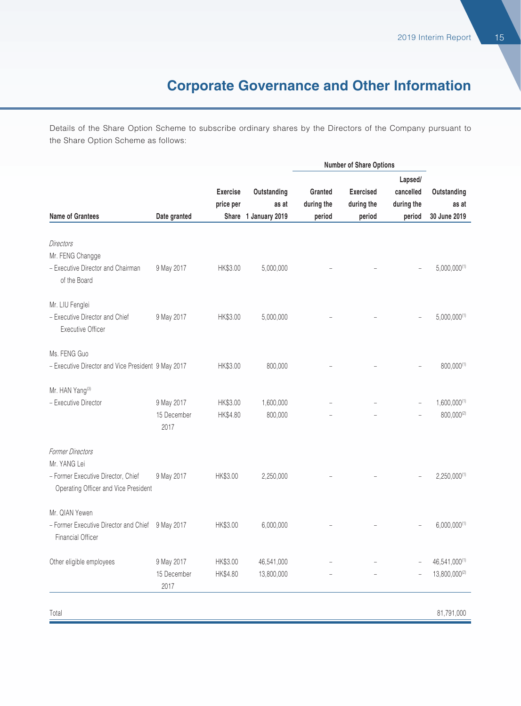Details of the Share Option Scheme to subscribe ordinary shares by the Directors of the Company pursuant to the Share Option Scheme as follows:

|                                                                                                                       |                                   |                              |                          |                       |                                | <b>Number of Share Options</b>     |                                 |  |  |  |
|-----------------------------------------------------------------------------------------------------------------------|-----------------------------------|------------------------------|--------------------------|-----------------------|--------------------------------|------------------------------------|---------------------------------|--|--|--|
|                                                                                                                       |                                   | <b>Exercise</b><br>price per | Outstanding<br>as at     | Granted<br>during the | <b>Exercised</b><br>during the | Lapsed/<br>cancelled<br>during the | Outstanding<br>as at            |  |  |  |
| <b>Name of Grantees</b>                                                                                               | Date granted                      |                              | Share 1 January 2019     | period                | period                         | period                             | 30 June 2019                    |  |  |  |
| <b>Directors</b><br>Mr. FENG Changge<br>- Executive Director and Chairman<br>of the Board                             | 9 May 2017                        | HK\$3.00                     | 5,000,000                |                       |                                |                                    | $5,000,000^{(1)}$               |  |  |  |
| Mr. LIU Fenglei<br>- Executive Director and Chief<br><b>Executive Officer</b>                                         | 9 May 2017                        | HK\$3.00                     | 5,000,000                |                       |                                |                                    | $5,000,000^{(1)}$               |  |  |  |
| Ms. FENG Guo<br>- Executive Director and Vice President 9 May 2017                                                    |                                   | HK\$3.00                     | 800,000                  |                       |                                |                                    | 800,000(1)                      |  |  |  |
| Mr. HAN Yang <sup>(3)</sup><br>- Executive Director                                                                   | 9 May 2017<br>15 December<br>2017 | HK\$3.00<br>HK\$4.80         | 1,600,000<br>800,000     |                       |                                |                                    | $1,600,000^{(1)}$<br>800,000(2) |  |  |  |
| <b>Former Directors</b><br>Mr. YANG Lei<br>- Former Executive Director, Chief<br>Operating Officer and Vice President | 9 May 2017                        | HK\$3.00                     | 2,250,000                |                       |                                |                                    | $2,250,000^{(1)}$               |  |  |  |
| Mr. QIAN Yewen<br>- Former Executive Director and Chief 9 May 2017<br><b>Financial Officer</b>                        |                                   | HK\$3.00                     | 6,000,000                |                       |                                |                                    | $6,000,000^{(1)}$               |  |  |  |
| Other eligible employees                                                                                              | 9 May 2017<br>15 December<br>2017 | HK\$3.00<br>HK\$4.80         | 46,541,000<br>13,800,000 |                       |                                |                                    | 46,541,000(1)<br>13,800,000(2)  |  |  |  |
|                                                                                                                       |                                   |                              |                          |                       |                                |                                    | $\alpha$ i mail and             |  |  |  |

Total 81,791,000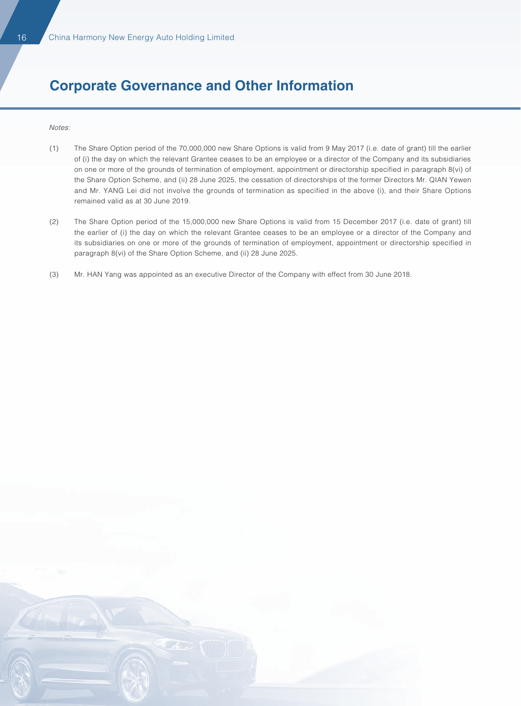Notes:

- (1) The Share Option period of the 70,000,000 new Share Options is valid from 9 May 2017 (i.e. date of grant) till the earlier of (i) the day on which the relevant Grantee ceases to be an employee or a director of the Company and its subsidiaries on one or more of the grounds of termination of employment, appointment or directorship specified in paragraph 8(vi) of the Share Option Scheme, and (ii) 28 June 2025, the cessation of directorships of the former Directors Mr. QIAN Yewen and Mr. YANG Lei did not involve the grounds of termination as specified in the above (i), and their Share Options remained valid as at 30 June 2019.
- (2) The Share Option period of the 15,000,000 new Share Options is valid from 15 December 2017 (i.e. date of grant) till the earlier of (i) the day on which the relevant Grantee ceases to be an employee or a director of the Company and its subsidiaries on one or more of the grounds of termination of employment, appointment or directorship specified in paragraph 8(vi) of the Share Option Scheme, and (ii) 28 June 2025.
- (3) Mr. HAN Yang was appointed as an executive Director of the Company with effect from 30 June 2018.

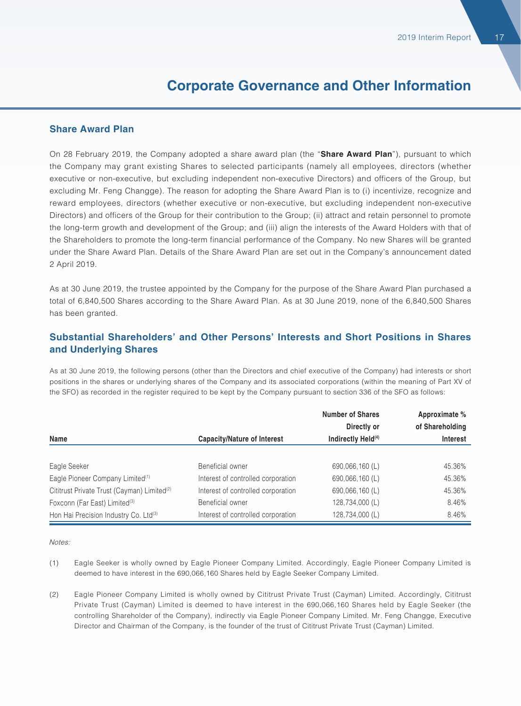#### **Share Award Plan**

On 28 February 2019, the Company adopted a share award plan (the "**Share Award Plan**"), pursuant to which the Company may grant existing Shares to selected participants (namely all employees, directors (whether executive or non-executive, but excluding independent non-executive Directors) and officers of the Group, but excluding Mr. Feng Changge). The reason for adopting the Share Award Plan is to (i) incentivize, recognize and reward employees, directors (whether executive or non-executive, but excluding independent non-executive Directors) and officers of the Group for their contribution to the Group; (ii) attract and retain personnel to promote the long-term growth and development of the Group; and (iii) align the interests of the Award Holders with that of the Shareholders to promote the long-term financial performance of the Company. No new Shares will be granted under the Share Award Plan. Details of the Share Award Plan are set out in the Company's announcement dated 2 April 2019.

As at 30 June 2019, the trustee appointed by the Company for the purpose of the Share Award Plan purchased a total of 6,840,500 Shares according to the Share Award Plan. As at 30 June 2019, none of the 6,840,500 Shares has been granted.

#### **Substantial Shareholders' and Other Persons' Interests and Short Positions in Shares and Underlying Shares**

As at 30 June 2019, the following persons (other than the Directors and chief executive of the Company) had interests or short positions in the shares or underlying shares of the Company and its associated corporations (within the meaning of Part XV of the SFO) as recorded in the register required to be kept by the Company pursuant to section 336 of the SFO as follows:

|                                                         |                                    | <b>Number of Shares</b>        | Approximate %   |  |  |
|---------------------------------------------------------|------------------------------------|--------------------------------|-----------------|--|--|
|                                                         |                                    | Directly or                    | of Shareholding |  |  |
| Name                                                    | <b>Capacity/Nature of Interest</b> | Indirectly Held <sup>(4)</sup> | <b>Interest</b> |  |  |
|                                                         |                                    |                                |                 |  |  |
| Eagle Seeker                                            | Beneficial owner                   | 690,066,160 (L)                | 45.36%          |  |  |
| Eagle Pioneer Company Limited <sup>(1)</sup>            | Interest of controlled corporation | 690,066,160 (L)                | 45.36%          |  |  |
| Cititrust Private Trust (Cayman) Limited <sup>(2)</sup> | Interest of controlled corporation | 690,066,160 (L)                | 45.36%          |  |  |
| Foxconn (Far East) Limited <sup>(3)</sup>               | Beneficial owner                   | 128,734,000 (L)                | 8.46%           |  |  |
| Hon Hai Precision Industry Co. Ltd(3)                   | Interest of controlled corporation | 128,734,000 (L)                | 8.46%           |  |  |

Notes:

- (1) Eagle Seeker is wholly owned by Eagle Pioneer Company Limited. Accordingly, Eagle Pioneer Company Limited is deemed to have interest in the 690,066,160 Shares held by Eagle Seeker Company Limited.
- (2) Eagle Pioneer Company Limited is wholly owned by Cititrust Private Trust (Cayman) Limited. Accordingly, Cititrust Private Trust (Cayman) Limited is deemed to have interest in the 690,066,160 Shares held by Eagle Seeker (the controlling Shareholder of the Company), indirectly via Eagle Pioneer Company Limited. Mr. Feng Changge, Executive Director and Chairman of the Company, is the founder of the trust of Cititrust Private Trust (Cayman) Limited.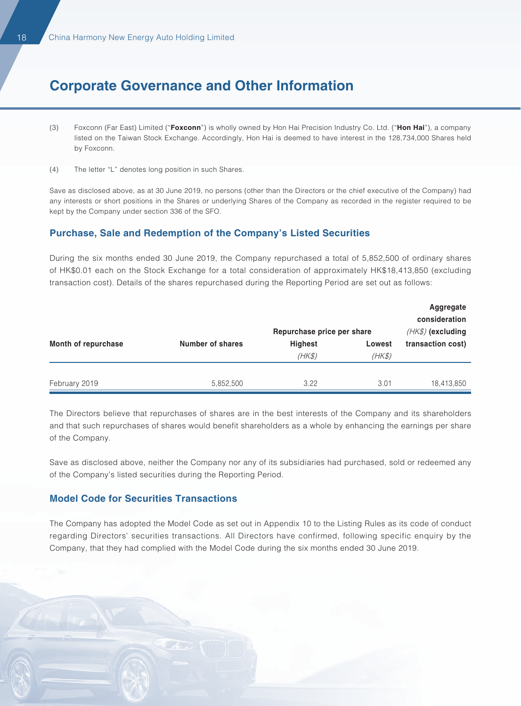- (3) Foxconn (Far East) Limited ("**Foxconn**") is wholly owned by Hon Hai Precision Industry Co. Ltd. ("**Hon Hai**"), a company listed on the Taiwan Stock Exchange. Accordingly, Hon Hai is deemed to have interest in the 128,734,000 Shares held by Foxconn.
- (4) The letter "L" denotes long position in such Shares.

Save as disclosed above, as at 30 June 2019, no persons (other than the Directors or the chief executive of the Company) had any interests or short positions in the Shares or underlying Shares of the Company as recorded in the register required to be kept by the Company under section 336 of the SFO.

#### **Purchase, Sale and Redemption of the Company's Listed Securities**

During the six months ended 30 June 2019, the Company repurchased a total of 5,852,500 of ordinary shares of HK\$0.01 each on the Stock Exchange for a total consideration of approximately HK\$18,413,850 (excluding transaction cost). Details of the shares repurchased during the Reporting Period are set out as follows:

|                     |                  | Repurchase price per share |        | Aggregate<br>consideration<br>$(HK\$ ) (excluding |
|---------------------|------------------|----------------------------|--------|---------------------------------------------------|
| Month of repurchase | Number of shares | <b>Highest</b>             | Lowest | transaction cost)                                 |
|                     |                  | (HK\$)                     | (HK\$) |                                                   |
| February 2019       | 5,852,500        | 3.22                       | 3.01   | 18,413,850                                        |

The Directors believe that repurchases of shares are in the best interests of the Company and its shareholders and that such repurchases of shares would benefit shareholders as a whole by enhancing the earnings per share of the Company.

Save as disclosed above, neither the Company nor any of its subsidiaries had purchased, sold or redeemed any of the Company's listed securities during the Reporting Period.

#### **Model Code for Securities Transactions**

The Company has adopted the Model Code as set out in Appendix 10 to the Listing Rules as its code of conduct regarding Directors' securities transactions. All Directors have confirmed, following specific enquiry by the Company, that they had complied with the Model Code during the six months ended 30 June 2019.

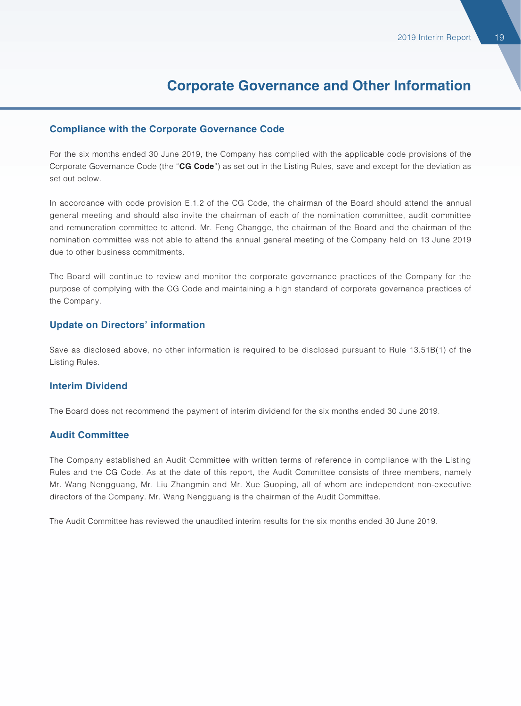#### **Compliance with the Corporate Governance Code**

For the six months ended 30 June 2019, the Company has complied with the applicable code provisions of the Corporate Governance Code (the "**CG Code**") as set out in the Listing Rules, save and except for the deviation as set out below.

In accordance with code provision E.1.2 of the CG Code, the chairman of the Board should attend the annual general meeting and should also invite the chairman of each of the nomination committee, audit committee and remuneration committee to attend. Mr. Feng Changge, the chairman of the Board and the chairman of the nomination committee was not able to attend the annual general meeting of the Company held on 13 June 2019 due to other business commitments.

The Board will continue to review and monitor the corporate governance practices of the Company for the purpose of complying with the CG Code and maintaining a high standard of corporate governance practices of the Company.

#### **Update on Directors' information**

Save as disclosed above, no other information is required to be disclosed pursuant to Rule 13.51B(1) of the Listing Rules.

#### **Interim Dividend**

The Board does not recommend the payment of interim dividend for the six months ended 30 June 2019.

#### **Audit Committee**

The Company established an Audit Committee with written terms of reference in compliance with the Listing Rules and the CG Code. As at the date of this report, the Audit Committee consists of three members, namely Mr. Wang Nengguang, Mr. Liu Zhangmin and Mr. Xue Guoping, all of whom are independent non-executive directors of the Company. Mr. Wang Nengguang is the chairman of the Audit Committee.

The Audit Committee has reviewed the unaudited interim results for the six months ended 30 June 2019.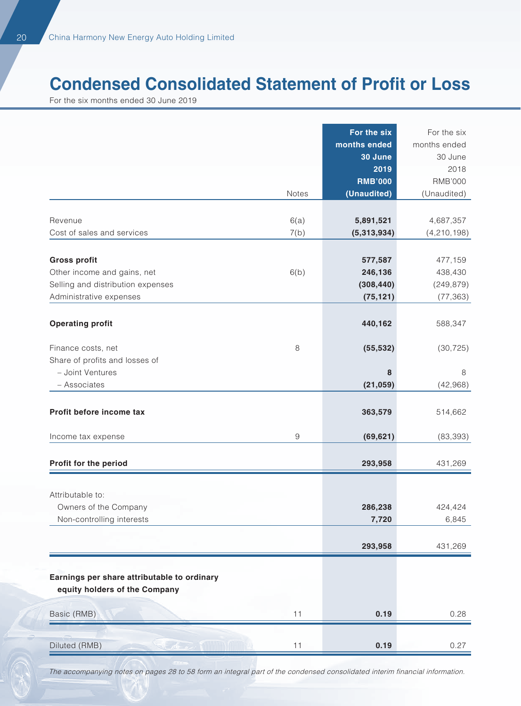# **Condensed Consolidated Statement of Profit or Loss**

For the six months ended 30 June 2019

|                                                              |       | For the six<br>months ended<br>30 June<br>2019 | For the six<br>months ended<br>30 June<br>2018 |
|--------------------------------------------------------------|-------|------------------------------------------------|------------------------------------------------|
|                                                              | Notes | <b>RMB'000</b><br>(Unaudited)                  | <b>RMB'000</b>                                 |
|                                                              |       |                                                | (Unaudited)                                    |
| Revenue                                                      | 6(a)  | 5,891,521                                      | 4,687,357                                      |
| Cost of sales and services                                   | 7(b)  | (5,313,934)                                    | (4, 210, 198)                                  |
|                                                              |       |                                                |                                                |
| <b>Gross profit</b>                                          |       | 577,587                                        | 477,159                                        |
| Other income and gains, net                                  | 6(b)  | 246,136                                        | 438,430                                        |
| Selling and distribution expenses<br>Administrative expenses |       | (308, 440)<br>(75, 121)                        | (249, 879)<br>(77, 363)                        |
|                                                              |       |                                                |                                                |
| <b>Operating profit</b>                                      |       | 440,162                                        | 588,347                                        |
|                                                              |       |                                                |                                                |
| Finance costs, net                                           | 8     | (55, 532)                                      | (30, 725)                                      |
| Share of profits and losses of                               |       |                                                |                                                |
| - Joint Ventures                                             |       | 8                                              | 8                                              |
| - Associates                                                 |       | (21, 059)                                      | (42, 968)                                      |
| Profit before income tax                                     |       | 363,579                                        | 514,662                                        |
| Income tax expense                                           | 9     | (69, 621)                                      | (83, 393)                                      |
|                                                              |       |                                                |                                                |
| Profit for the period                                        |       | 293,958                                        | 431,269                                        |
|                                                              |       |                                                |                                                |
| Attributable to:                                             |       |                                                |                                                |
| Owners of the Company                                        |       | 286,238                                        | 424,424                                        |
| Non-controlling interests                                    |       | 7,720                                          | 6,845                                          |
|                                                              |       | 293,958                                        | 431,269                                        |
|                                                              |       |                                                |                                                |
| Earnings per share attributable to ordinary                  |       |                                                |                                                |
| equity holders of the Company                                |       |                                                |                                                |
| Basic (RMB)                                                  | 11    | 0.19                                           | 0.28                                           |
|                                                              |       |                                                |                                                |
| Diluted (RMB)                                                | 11    | 0.19                                           | 0.27                                           |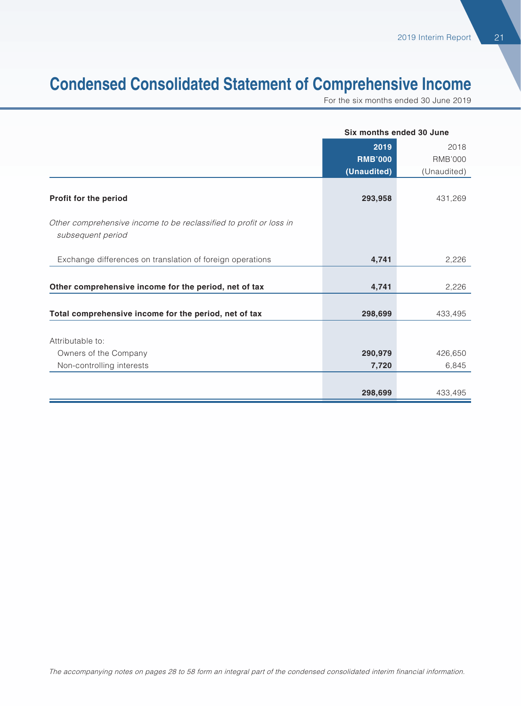# **Condensed Consolidated Statement of Comprehensive Income**

For the six months ended 30 June 2019

|                                                                    |                | Six months ended 30 June |
|--------------------------------------------------------------------|----------------|--------------------------|
|                                                                    | 2019           | 2018                     |
|                                                                    | <b>RMB'000</b> | <b>RMB'000</b>           |
|                                                                    | (Unaudited)    | (Unaudited)              |
|                                                                    |                |                          |
| Profit for the period                                              | 293,958        | 431,269                  |
| Other comprehensive income to be reclassified to profit or loss in |                |                          |
| subsequent period                                                  |                |                          |
|                                                                    |                |                          |
| Exchange differences on translation of foreign operations          | 4,741          | 2,226                    |
|                                                                    |                |                          |
| Other comprehensive income for the period, net of tax              | 4,741          | 2,226                    |
|                                                                    |                |                          |
| Total comprehensive income for the period, net of tax              | 298,699        | 433,495                  |
|                                                                    |                |                          |
| Attributable to:                                                   |                |                          |
| Owners of the Company                                              | 290,979        | 426,650                  |
| Non-controlling interests                                          | 7,720          | 6,845                    |
|                                                                    |                |                          |
|                                                                    | 298,699        | 433,495                  |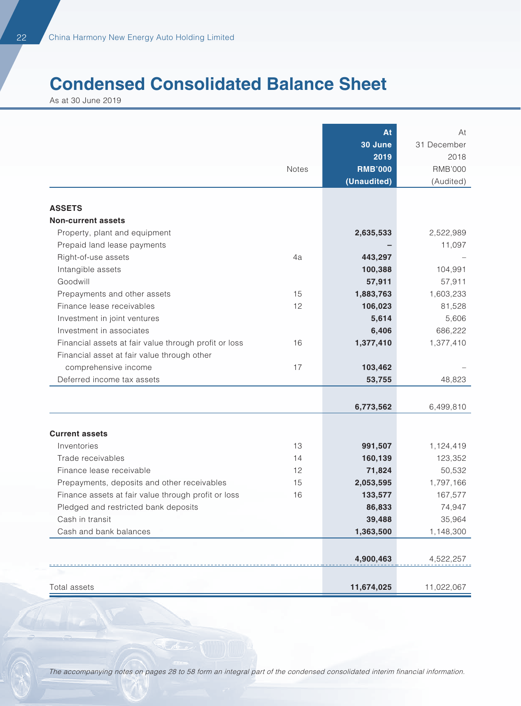# **Condensed Consolidated Balance Sheet**

As at 30 June 2019

|                                                       |       | At             | At             |
|-------------------------------------------------------|-------|----------------|----------------|
|                                                       |       | 30 June        | 31 December    |
|                                                       |       | 2019           | 2018           |
|                                                       | Notes | <b>RMB'000</b> | <b>RMB'000</b> |
|                                                       |       | (Unaudited)    | (Audited)      |
|                                                       |       |                |                |
| <b>ASSETS</b>                                         |       |                |                |
| <b>Non-current assets</b>                             |       |                |                |
| Property, plant and equipment                         |       | 2,635,533      | 2,522,989      |
| Prepaid land lease payments                           |       |                | 11,097         |
| Right-of-use assets                                   | 4a    | 443,297        |                |
| Intangible assets                                     |       | 100,388        | 104,991        |
| Goodwill                                              |       | 57,911         | 57,911         |
| Prepayments and other assets                          | 15    | 1,883,763      | 1,603,233      |
| Finance lease receivables                             | 12    | 106,023        | 81,528         |
| Investment in joint ventures                          |       | 5,614          | 5,606          |
| Investment in associates                              |       | 6,406          | 686,222        |
| Financial assets at fair value through profit or loss | 16    | 1,377,410      | 1,377,410      |
| Financial asset at fair value through other           |       |                |                |
| comprehensive income                                  | 17    | 103,462        |                |
| Deferred income tax assets                            |       | 53,755         | 48,823         |
|                                                       |       |                |                |
|                                                       |       | 6,773,562      | 6,499,810      |
|                                                       |       |                |                |
| <b>Current assets</b>                                 |       |                |                |
| Inventories                                           | 13    | 991,507        | 1,124,419      |
| Trade receivables                                     | 14    | 160,139        | 123,352        |
| Finance lease receivable                              | 12    | 71,824         | 50,532         |
| Prepayments, deposits and other receivables           | 15    | 2,053,595      | 1,797,166      |
| Finance assets at fair value through profit or loss   | 16    | 133,577        | 167,577        |
| Pledged and restricted bank deposits                  |       | 86,833         | 74,947         |
| Cash in transit                                       |       | 39,488         | 35,964         |
| Cash and bank balances                                |       | 1,363,500      | 1,148,300      |
|                                                       |       |                |                |
|                                                       |       | 4,900,463      | 4,522,257      |
|                                                       |       |                |                |
| Total assets                                          |       | 11,674,025     | 11,022,067     |

The accompanying notes on pages 28 to 58 form an integral part of the condensed consolidated interim financial information.

 $\mathcal{N}$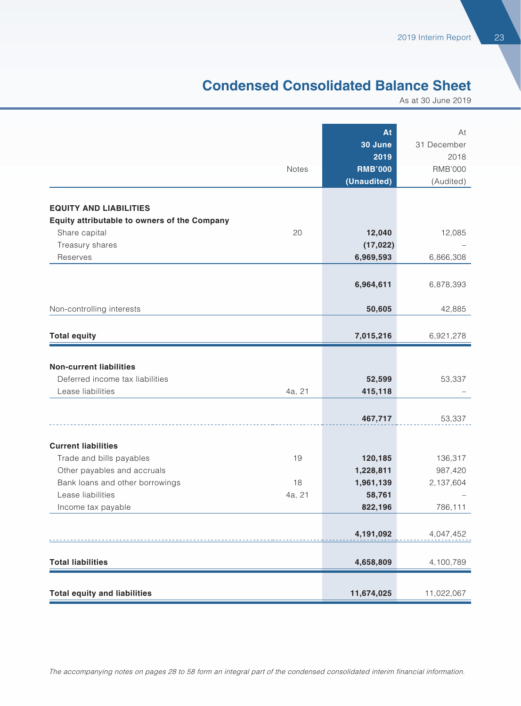### **Condensed Consolidated Balance Sheet**

As at 30 June 2019

|                                              |        | At              | At                  |
|----------------------------------------------|--------|-----------------|---------------------|
|                                              |        | 30 June<br>2019 | 31 December<br>2018 |
|                                              | Notes  | <b>RMB'000</b>  | <b>RMB'000</b>      |
|                                              |        | (Unaudited)     | (Audited)           |
|                                              |        |                 |                     |
| <b>EQUITY AND LIABILITIES</b>                |        |                 |                     |
| Equity attributable to owners of the Company |        |                 |                     |
| Share capital                                | 20     | 12,040          | 12,085              |
| Treasury shares                              |        | (17, 022)       |                     |
| Reserves                                     |        | 6,969,593       | 6,866,308           |
|                                              |        |                 |                     |
|                                              |        | 6,964,611       | 6,878,393           |
| Non-controlling interests                    |        | 50,605          | 42,885              |
|                                              |        |                 |                     |
| <b>Total equity</b>                          |        | 7,015,216       | 6,921,278           |
|                                              |        |                 |                     |
| <b>Non-current liabilities</b>               |        |                 |                     |
| Deferred income tax liabilities              |        | 52,599          | 53,337              |
| Lease liabilities                            | 4a, 21 | 415,118         |                     |
|                                              |        |                 |                     |
|                                              |        | 467,717         | 53,337              |
| <b>Current liabilities</b>                   |        |                 |                     |
| Trade and bills payables                     | 19     | 120,185         | 136,317             |
| Other payables and accruals                  |        | 1,228,811       | 987,420             |
| Bank loans and other borrowings              | 18     | 1,961,139       | 2,137,604           |
| Lease liabilities                            | 4a, 21 | 58,761          |                     |
| Income tax payable                           |        | 822,196         | 786,111             |
|                                              |        |                 |                     |
|                                              |        | 4,191,092       | 4,047,452           |
| <b>Total liabilities</b>                     |        | 4,658,809       | 4,100,789           |
|                                              |        |                 |                     |
| <b>Total equity and liabilities</b>          |        | 11,674,025      | 11,022,067          |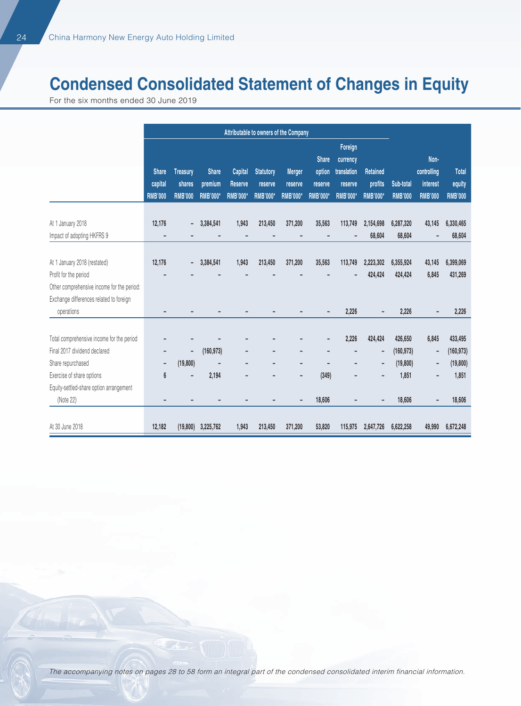# **Condensed Consolidated Statement of Changes in Equity**

For the six months ended 30 June 2019

|                                            | Attributable to owners of the Company     |                                             |                                            |                                              |                                                |                                             |                                                      |                                                                  |                                        |                             |                                                   |                                          |
|--------------------------------------------|-------------------------------------------|---------------------------------------------|--------------------------------------------|----------------------------------------------|------------------------------------------------|---------------------------------------------|------------------------------------------------------|------------------------------------------------------------------|----------------------------------------|-----------------------------|---------------------------------------------------|------------------------------------------|
|                                            | <b>Share</b><br>capital<br><b>RMB'000</b> | <b>Treasury</b><br>shares<br><b>RMB'000</b> | <b>Share</b><br>premium<br><b>RMB'000*</b> | Capital<br><b>Reserve</b><br><b>RMB'000*</b> | <b>Statutory</b><br>reserve<br><b>RMB'000*</b> | <b>Merger</b><br>reserve<br><b>RMB'000*</b> | <b>Share</b><br>option<br>reserve<br><b>RMB'000*</b> | Foreign<br>currency<br>translation<br>reserve<br><b>RMB'000*</b> | Retained<br>profits<br><b>RMB'000*</b> | Sub-total<br><b>RMB'000</b> | Non-<br>controlling<br>interest<br><b>RMB'000</b> | <b>Total</b><br>equity<br><b>RMB'000</b> |
| At 1 January 2018                          | 12,176                                    | -                                           | 3,384,541                                  | 1,943                                        | 213,450                                        | 371,200                                     | 35,563                                               | 113,749                                                          | 2,154,698                              | 6,287,320                   | 43,145                                            | 6,330,465                                |
| Impact of adopting HKFRS 9                 |                                           |                                             |                                            |                                              |                                                |                                             |                                                      |                                                                  | 68,604                                 | 68,604                      |                                                   | 68,604                                   |
|                                            |                                           |                                             |                                            |                                              |                                                |                                             |                                                      |                                                                  |                                        |                             |                                                   |                                          |
| At 1 January 2018 (restated)               | 12,176                                    | -                                           | 3,384,541                                  | 1,943                                        | 213,450                                        | 371,200                                     | 35,563                                               | 113,749                                                          | 2,223,302                              | 6,355,924                   | 43,145                                            | 6,399,069                                |
| Profit for the period                      |                                           |                                             |                                            |                                              |                                                |                                             |                                                      |                                                                  | 424,424                                | 424,424                     | 6,845                                             | 431,269                                  |
| Other comprehensive income for the period: |                                           |                                             |                                            |                                              |                                                |                                             |                                                      |                                                                  |                                        |                             |                                                   |                                          |
| Exchange differences related to foreign    |                                           |                                             |                                            |                                              |                                                |                                             |                                                      |                                                                  |                                        |                             |                                                   |                                          |
| operations                                 |                                           |                                             |                                            |                                              |                                                |                                             |                                                      | 2,226                                                            |                                        | 2,226                       |                                                   | 2,226                                    |
|                                            |                                           |                                             |                                            |                                              |                                                |                                             |                                                      |                                                                  |                                        |                             |                                                   |                                          |
| Total comprehensive income for the period  |                                           |                                             |                                            |                                              |                                                |                                             |                                                      | 2,226                                                            | 424,424                                | 426,650                     | 6,845                                             | 433,495                                  |
| Final 2017 dividend declared               |                                           | $\overline{\phantom{0}}$                    | (160, 973)                                 |                                              |                                                |                                             |                                                      |                                                                  | -                                      | (160, 973)                  | $\qquad \qquad -$                                 | (160, 973)                               |
| Share repurchased                          |                                           | (19, 800)                                   |                                            |                                              |                                                |                                             |                                                      |                                                                  | -                                      | (19, 800)                   | $\overline{a}$                                    | (19, 800)                                |
| Exercise of share options                  | 6                                         | -                                           | 2,194                                      | -                                            |                                                | -                                           | (349)                                                | -                                                                |                                        | 1,851                       | -                                                 | 1,851                                    |
| Equity-settled-share option arrangement    |                                           |                                             |                                            |                                              |                                                |                                             |                                                      |                                                                  |                                        |                             |                                                   |                                          |
| (Note 22)                                  |                                           |                                             |                                            |                                              |                                                |                                             | 18,606                                               |                                                                  |                                        | 18,606                      |                                                   | 18,606                                   |
|                                            |                                           |                                             |                                            |                                              |                                                |                                             |                                                      |                                                                  |                                        |                             |                                                   |                                          |
| At 30 June 2018                            | 12,182                                    | (19, 800)                                   | 3,225,762                                  | 1,943                                        | 213,450                                        | 371,200                                     | 53,820                                               | 115,975                                                          | 2,647,726                              | 6,622,258                   | 49,990                                            | 6,672,248                                |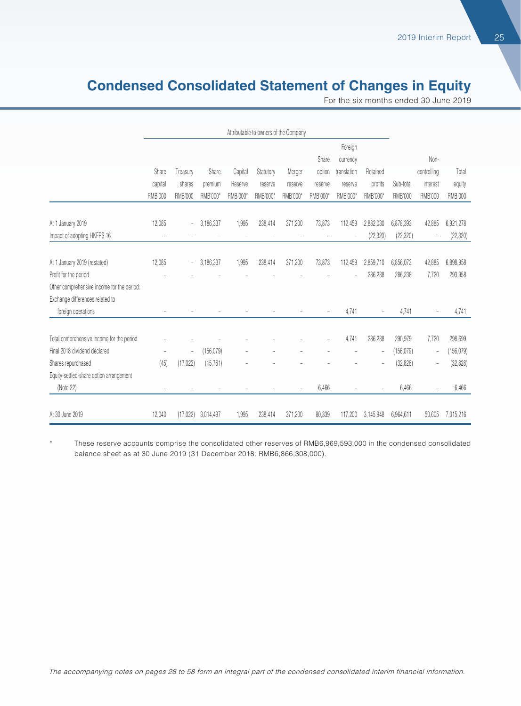### **Condensed Consolidated Statement of Changes in Equity**

For the six months ended 30 June 2019

|                                                                               | Attributable to owners of the Company |                          |            |          |           |                          |                          |                     |                          |                |                          |                |
|-------------------------------------------------------------------------------|---------------------------------------|--------------------------|------------|----------|-----------|--------------------------|--------------------------|---------------------|--------------------------|----------------|--------------------------|----------------|
|                                                                               |                                       |                          |            |          |           |                          | Share                    | Foreign<br>currency |                          |                | Non-                     |                |
|                                                                               | Share                                 | Treasury                 | Share      | Capital  | Statutory | Merger                   | option                   | translation         | Retained                 |                | controlling              | Total          |
|                                                                               | capital                               | shares                   | premium    | Reserve  | reserve   | reserve                  | reserve                  | reserve             | profits                  | Sub-total      | interest                 | equity         |
|                                                                               | <b>RMB'000</b>                        | <b>RMB'000</b>           | RMB'000*   | RMB'000* | RMB'000*  | RMB'000*                 | RMB'000*                 | RMB'000*            | RMB'000*                 | <b>RMB'000</b> | <b>RMB'000</b>           | <b>RMB'000</b> |
| At 1 January 2019                                                             | 12,085                                | $\overline{\phantom{0}}$ | 3,186,337  | 1,995    | 238,414   | 371,200                  | 73,873                   | 112,459             | 2,882,030                | 6,878,393      | 42,885                   | 6,921,278      |
| Impact of adopting HKFRS 16                                                   |                                       |                          |            |          |           |                          |                          |                     | (22, 320)                | (22, 320)      | $\overline{a}$           | (22, 320)      |
| At 1 January 2019 (restated)                                                  | 12,085                                | $\overline{\phantom{a}}$ | 3,186,337  | 1,995    | 238,414   | 371,200                  | 73,873                   | 112,459             | 2,859,710                | 6,856,073      | 42,885                   | 6,898,958      |
| Profit for the period                                                         |                                       |                          |            |          |           |                          |                          |                     | 286,238                  | 286,238        | 7,720                    | 293,958        |
| Other comprehensive income for the period:<br>Exchange differences related to |                                       |                          |            |          |           |                          |                          |                     |                          |                |                          |                |
| foreign operations                                                            | $\overline{\phantom{a}}$              |                          |            |          |           |                          | $\overline{\phantom{a}}$ | 4,741               | $\overline{\phantom{a}}$ | 4.741          | $\overline{\phantom{a}}$ | 4,741          |
| Total comprehensive income for the period                                     |                                       |                          |            |          |           |                          | ÷,                       | 4,741               | 286,238                  | 290,979        | 7,720                    | 298,699        |
| Final 2018 dividend declared                                                  | ٠                                     | $\overline{\phantom{a}}$ | (156, 079) |          |           |                          |                          |                     | $\overline{\phantom{a}}$ | (156, 079)     | $\overline{\phantom{0}}$ | (156, 079)     |
| Shares repurchased<br>Equity-settled-share option arrangement                 | (45)                                  | (17, 022)                | (15, 761)  |          |           |                          |                          |                     |                          | (32, 828)      | $\overline{a}$           | (32, 828)      |
| (Note 22)                                                                     | $\sim$                                |                          |            |          |           | $\overline{\phantom{a}}$ | 6,466                    |                     |                          | 6,466          | ÷,                       | 6,466          |
| At 30 June 2019                                                               | 12,040                                | (17.022)                 | 3,014,497  | 1,995    | 238,414   | 371,200                  | 80,339                   | 117,200             | 3,145,948                | 6,964,611      | 50,605                   | 7,015,216      |

These reserve accounts comprise the consolidated other reserves of RMB6,969,593,000 in the condensed consolidated balance sheet as at 30 June 2019 (31 December 2018: RMB6,866,308,000).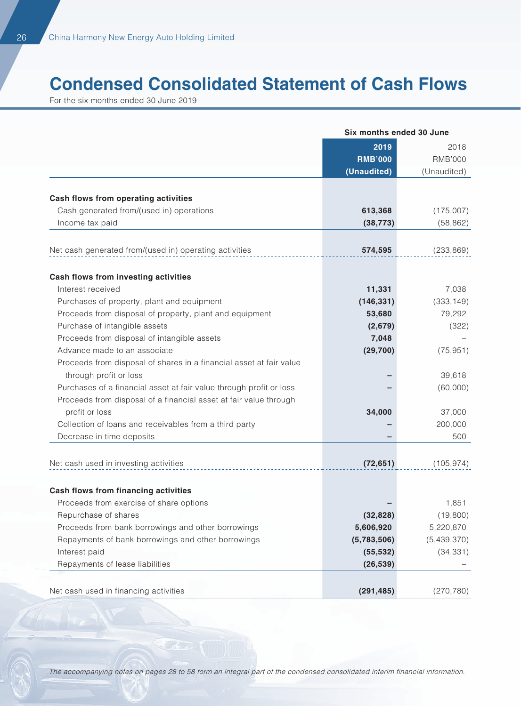# **Condensed Consolidated Statement of Cash Flows**

For the six months ended 30 June 2019

|                                                                     | Six months ended 30 June |                        |
|---------------------------------------------------------------------|--------------------------|------------------------|
|                                                                     | 2019<br><b>RMB'000</b>   | 2018<br><b>RMB'000</b> |
|                                                                     | (Unaudited)              | (Unaudited)            |
| Cash flows from operating activities                                |                          |                        |
| Cash generated from/(used in) operations                            | 613,368                  | (175,007)              |
| Income tax paid                                                     | (38, 773)                | (58, 862)              |
|                                                                     |                          |                        |
| Net cash generated from/(used in) operating activities              | 574,595                  | (233, 869)             |
| Cash flows from investing activities                                |                          |                        |
| Interest received                                                   | 11,331                   | 7,038                  |
| Purchases of property, plant and equipment                          | (146, 331)               | (333, 149)             |
| Proceeds from disposal of property, plant and equipment             | 53,680                   | 79,292                 |
| Purchase of intangible assets                                       | (2,679)                  | (322)                  |
| Proceeds from disposal of intangible assets                         | 7,048                    |                        |
| Advance made to an associate                                        | (29, 700)                | (75, 951)              |
| Proceeds from disposal of shares in a financial asset at fair value |                          |                        |
| through profit or loss                                              |                          | 39,618                 |
| Purchases of a financial asset at fair value through profit or loss |                          | (60,000)               |
| Proceeds from disposal of a financial asset at fair value through   |                          |                        |
| profit or loss                                                      | 34,000                   | 37,000                 |
| Collection of loans and receivables from a third party              |                          | 200,000                |
| Decrease in time deposits                                           |                          | 500                    |
| Net cash used in investing activities                               | (72, 651)                | (105, 974)             |
| Cash flows from financing activities                                |                          |                        |
| Proceeds from exercise of share options                             |                          | 1,851                  |
| Repurchase of shares                                                | (32, 828)                | (19,800)               |
| Proceeds from bank borrowings and other borrowings                  | 5,606,920                | 5,220,870              |
| Repayments of bank borrowings and other borrowings                  | (5,783,506)              | (5,439,370)            |
| Interest paid                                                       | (55, 532)                | (34, 331)              |
| Repayments of lease liabilities                                     | (26, 539)                |                        |
|                                                                     |                          |                        |
| Net cash used in financing activities                               | (291, 485)               | (270, 780)             |

The accompanying notes on pages 28 to 58 form an integral part of the condensed consolidated interim financial information.

A.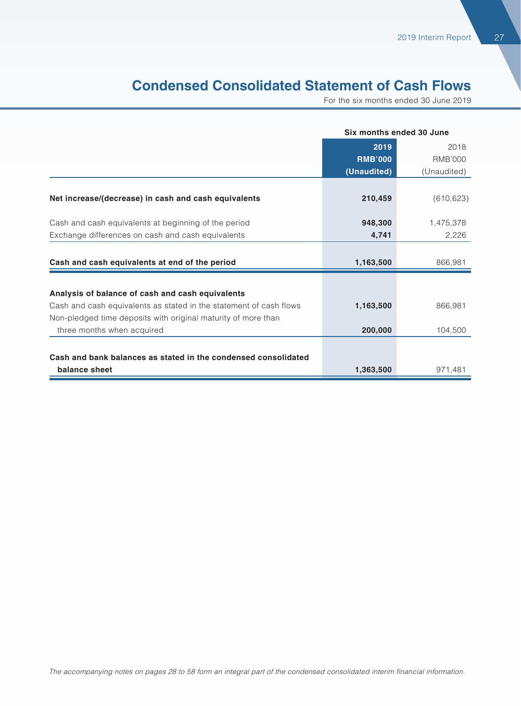### **Condensed Consolidated Statement of Cash Flows**

For the six months ended 30 June 2019

|                                                                    | Six months ended 30 June |             |
|--------------------------------------------------------------------|--------------------------|-------------|
|                                                                    | 2019                     | 2018        |
|                                                                    | <b>RMB'000</b>           | RMB'000     |
|                                                                    | (Unaudited)              | (Unaudited) |
|                                                                    |                          |             |
| Net increase/(decrease) in cash and cash equivalents               | 210,459                  | (610, 623)  |
|                                                                    |                          |             |
| Cash and cash equivalents at beginning of the period               | 948,300                  | 1,475,378   |
| Exchange differences on cash and cash equivalents                  | 4,741                    | 2,226       |
|                                                                    |                          |             |
| Cash and cash equivalents at end of the period                     | 1,163,500                | 866,981     |
|                                                                    |                          |             |
| Analysis of balance of cash and cash equivalents                   |                          |             |
| Cash and cash equivalents as stated in the statement of cash flows | 1,163,500                | 866.981     |
| Non-pledged time deposits with original maturity of more than      |                          |             |
| three months when acquired                                         | 200,000                  | 104,500     |
|                                                                    |                          |             |
| Cash and bank balances as stated in the condensed consolidated     |                          |             |
| balance sheet                                                      | 1,363,500                | 971,481     |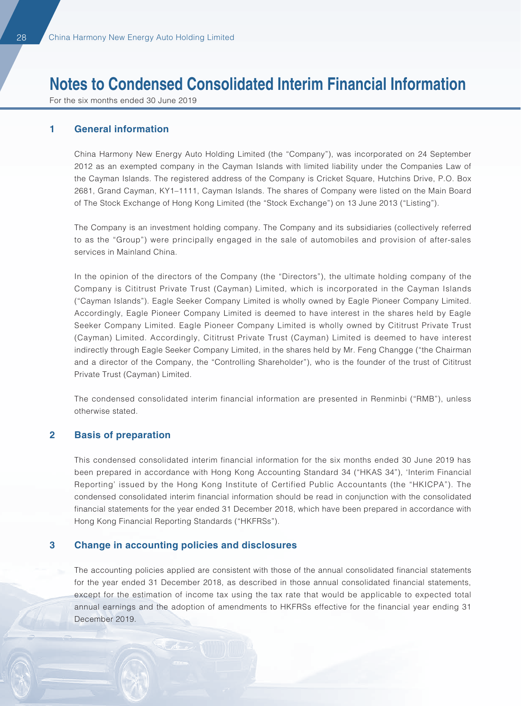For the six months ended 30 June 2019

#### **1 General information**

China Harmony New Energy Auto Holding Limited (the "Company"), was incorporated on 24 September 2012 as an exempted company in the Cayman Islands with limited liability under the Companies Law of the Cayman Islands. The registered address of the Company is Cricket Square, Hutchins Drive, P.O. Box 2681, Grand Cayman, KY1–1111, Cayman Islands. The shares of Company were listed on the Main Board of The Stock Exchange of Hong Kong Limited (the "Stock Exchange") on 13 June 2013 ("Listing").

The Company is an investment holding company. The Company and its subsidiaries (collectively referred to as the "Group") were principally engaged in the sale of automobiles and provision of after-sales services in Mainland China.

In the opinion of the directors of the Company (the "Directors"), the ultimate holding company of the Company is Cititrust Private Trust (Cayman) Limited, which is incorporated in the Cayman Islands ("Cayman Islands"). Eagle Seeker Company Limited is wholly owned by Eagle Pioneer Company Limited. Accordingly, Eagle Pioneer Company Limited is deemed to have interest in the shares held by Eagle Seeker Company Limited. Eagle Pioneer Company Limited is wholly owned by Cititrust Private Trust (Cayman) Limited. Accordingly, Cititrust Private Trust (Cayman) Limited is deemed to have interest indirectly through Eagle Seeker Company Limited, in the shares held by Mr. Feng Changge ("the Chairman and a director of the Company, the "Controlling Shareholder"), who is the founder of the trust of Cititrust Private Trust (Cayman) Limited.

The condensed consolidated interim financial information are presented in Renminbi ("RMB"), unless otherwise stated.

#### **2 Basis of preparation**

This condensed consolidated interim financial information for the six months ended 30 June 2019 has been prepared in accordance with Hong Kong Accounting Standard 34 ("HKAS 34"), 'Interim Financial Reporting' issued by the Hong Kong Institute of Certified Public Accountants (the "HKICPA"). The condensed consolidated interim financial information should be read in conjunction with the consolidated financial statements for the year ended 31 December 2018, which have been prepared in accordance with Hong Kong Financial Reporting Standards ("HKFRSs").

#### **3 Change in accounting policies and disclosures**

The accounting policies applied are consistent with those of the annual consolidated financial statements for the year ended 31 December 2018, as described in those annual consolidated financial statements, except for the estimation of income tax using the tax rate that would be applicable to expected total annual earnings and the adoption of amendments to HKFRSs effective for the financial year ending 31 December 2019.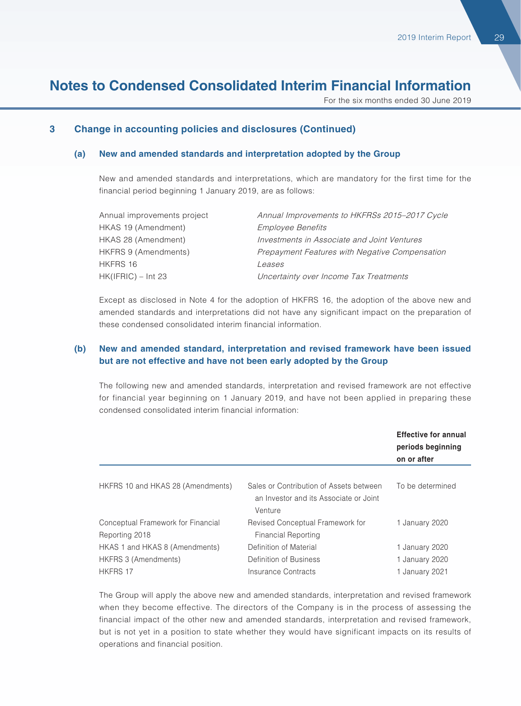For the six months ended 30 June 2019

#### **3 Change in accounting policies and disclosures (Continued)**

#### **(a) New and amended standards and interpretation adopted by the Group**

New and amended standards and interpretations, which are mandatory for the first time for the financial period beginning 1 January 2019, are as follows:

| Annual improvements project | Annual Improvements to HKFRSs 2015-2017 Cycle  |
|-----------------------------|------------------------------------------------|
| HKAS 19 (Amendment)         | <b>Employee Benefits</b>                       |
| HKAS 28 (Amendment)         | Investments in Associate and Joint Ventures    |
| HKFRS 9 (Amendments)        | Prepayment Features with Negative Compensation |
| HKFRS 16                    | Leases                                         |
| HK(IFRIC) – Int 23          | Uncertainty over Income Tax Treatments         |

Except as disclosed in Note 4 for the adoption of HKFRS 16, the adoption of the above new and amended standards and interpretations did not have any significant impact on the preparation of these condensed consolidated interim financial information.

#### **(b) New and amended standard, interpretation and revised framework have been issued but are not effective and have not been early adopted by the Group**

The following new and amended standards, interpretation and revised framework are not effective for financial year beginning on 1 January 2019, and have not been applied in preparing these condensed consolidated interim financial information:

|                                                        |                                                                                              | <b>Effective for annual</b><br>periods beginning<br>on or after |
|--------------------------------------------------------|----------------------------------------------------------------------------------------------|-----------------------------------------------------------------|
| HKFRS 10 and HKAS 28 (Amendments)                      | Sales or Contribution of Assets between<br>an Investor and its Associate or Joint<br>Venture | To be determined                                                |
| Conceptual Framework for Financial<br>Reporting 2018   | Revised Conceptual Framework for<br>Financial Reporting                                      | 1 January 2020                                                  |
| HKAS 1 and HKAS 8 (Amendments)<br>HKFRS 3 (Amendments) | Definition of Material<br>Definition of Business                                             | 1 January 2020<br>1 January 2020                                |
| <b>HKFRS 17</b>                                        | Insurance Contracts                                                                          | 1 January 2021                                                  |

The Group will apply the above new and amended standards, interpretation and revised framework when they become effective. The directors of the Company is in the process of assessing the financial impact of the other new and amended standards, interpretation and revised framework, but is not yet in a position to state whether they would have significant impacts on its results of operations and financial position.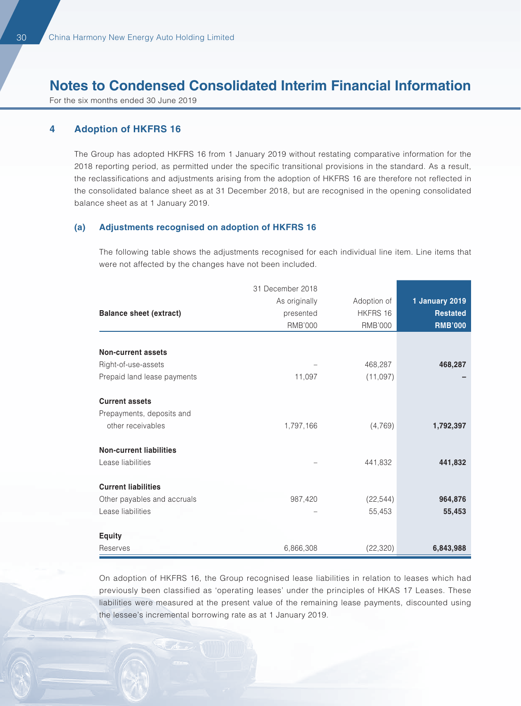For the six months ended 30 June 2019

#### **4 Adoption of HKFRS 16**

The Group has adopted HKFRS 16 from 1 January 2019 without restating comparative information for the 2018 reporting period, as permitted under the specific transitional provisions in the standard. As a result, the reclassifications and adjustments arising from the adoption of HKFRS 16 are therefore not reflected in the consolidated balance sheet as at 31 December 2018, but are recognised in the opening consolidated balance sheet as at 1 January 2019.

#### **(a) Adjustments recognised on adoption of HKFRS 16**

The following table shows the adjustments recognised for each individual line item. Line items that were not affected by the changes have not been included.

|                                | 31 December 2018 |                |                 |
|--------------------------------|------------------|----------------|-----------------|
|                                | As originally    | Adoption of    | 1 January 2019  |
| <b>Balance sheet (extract)</b> | presented        | HKFRS 16       | <b>Restated</b> |
|                                | <b>RMB'000</b>   | <b>RMB'000</b> | <b>RMB'000</b>  |
|                                |                  |                |                 |
| <b>Non-current assets</b>      |                  |                |                 |
| Right-of-use-assets            |                  | 468,287        | 468,287         |
| Prepaid land lease payments    | 11,097           | (11,097)       |                 |
| <b>Current assets</b>          |                  |                |                 |
| Prepayments, deposits and      |                  |                |                 |
| other receivables              | 1,797,166        | (4,769)        | 1,792,397       |
| <b>Non-current liabilities</b> |                  |                |                 |
| Lease liabilities              |                  | 441,832        | 441,832         |
| <b>Current liabilities</b>     |                  |                |                 |
| Other payables and accruals    | 987,420          | (22, 544)      | 964,876         |
| Lease liabilities              |                  | 55,453         | 55,453          |
| <b>Equity</b>                  |                  |                |                 |
| Reserves                       | 6,866,308        | (22, 320)      | 6,843,988       |

On adoption of HKFRS 16, the Group recognised lease liabilities in relation to leases which had previously been classified as 'operating leases' under the principles of HKAS 17 Leases. These liabilities were measured at the present value of the remaining lease payments, discounted using the lessee's incremental borrowing rate as at 1 January 2019.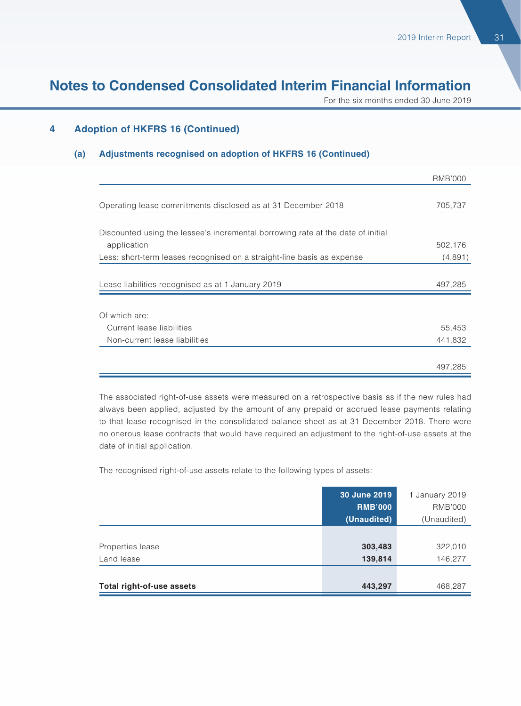For the six months ended 30 June 2019

#### **4 Adoption of HKFRS 16 (Continued)**

#### **(a) Adjustments recognised on adoption of HKFRS 16 (Continued)**

|                                                                                 | <b>RMB'000</b> |
|---------------------------------------------------------------------------------|----------------|
|                                                                                 |                |
| Operating lease commitments disclosed as at 31 December 2018                    | 705,737        |
|                                                                                 |                |
| Discounted using the lessee's incremental borrowing rate at the date of initial |                |
| application                                                                     | 502,176        |
| Less: short-term leases recognised on a straight-line basis as expense          | (4,891)        |
|                                                                                 |                |
| Lease liabilities recognised as at 1 January 2019                               | 497,285        |
|                                                                                 |                |
| Of which are:                                                                   |                |
| Current lease liabilities                                                       | 55,453         |
| Non-current lease liabilities                                                   | 441,832        |
|                                                                                 |                |
|                                                                                 | 497,285        |

The associated right-of-use assets were measured on a retrospective basis as if the new rules had always been applied, adjusted by the amount of any prepaid or accrued lease payments relating to that lease recognised in the consolidated balance sheet as at 31 December 2018. There were no onerous lease contracts that would have required an adjustment to the right-of-use assets at the date of initial application.

The recognised right-of-use assets relate to the following types of assets:

|                           | 30 June 2019   | 1 January 2019 |
|---------------------------|----------------|----------------|
|                           | <b>RMB'000</b> | <b>RMB'000</b> |
|                           | (Unaudited)    | (Unaudited)    |
|                           |                |                |
| Properties lease          | 303,483        | 322,010        |
| Land lease                | 139,814        | 146,277        |
|                           |                |                |
| Total right-of-use assets | 443,297        | 468,287        |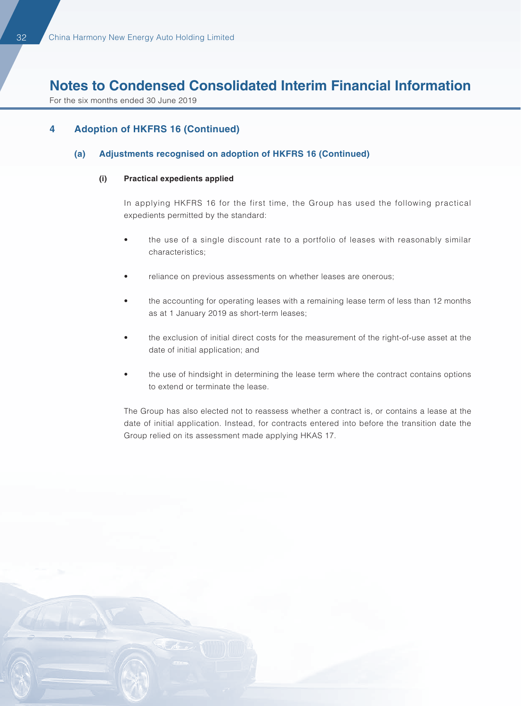For the six months ended 30 June 2019

#### **4 Adoption of HKFRS 16 (Continued)**

#### **(a) Adjustments recognised on adoption of HKFRS 16 (Continued)**

#### **(i) Practical expedients applied**

In applying HKFRS 16 for the first time, the Group has used the following practical expedients permitted by the standard:

- the use of a single discount rate to a portfolio of leases with reasonably similar characteristics;
- reliance on previous assessments on whether leases are onerous;
- the accounting for operating leases with a remaining lease term of less than 12 months as at 1 January 2019 as short-term leases;
- the exclusion of initial direct costs for the measurement of the right-of-use asset at the date of initial application; and
- the use of hindsight in determining the lease term where the contract contains options to extend or terminate the lease.

The Group has also elected not to reassess whether a contract is, or contains a lease at the date of initial application. Instead, for contracts entered into before the transition date the Group relied on its assessment made applying HKAS 17.

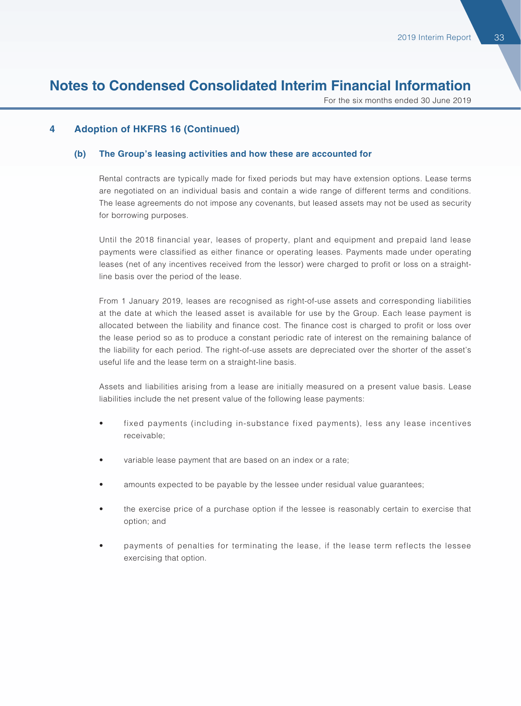For the six months ended 30 June 2019

#### **4 Adoption of HKFRS 16 (Continued)**

#### **(b) The Group's leasing activities and how these are accounted for**

Rental contracts are typically made for fixed periods but may have extension options. Lease terms are negotiated on an individual basis and contain a wide range of different terms and conditions. The lease agreements do not impose any covenants, but leased assets may not be used as security for borrowing purposes.

Until the 2018 financial year, leases of property, plant and equipment and prepaid land lease payments were classified as either finance or operating leases. Payments made under operating leases (net of any incentives received from the lessor) were charged to profit or loss on a straightline basis over the period of the lease.

From 1 January 2019, leases are recognised as right-of-use assets and corresponding liabilities at the date at which the leased asset is available for use by the Group. Each lease payment is allocated between the liability and finance cost. The finance cost is charged to profit or loss over the lease period so as to produce a constant periodic rate of interest on the remaining balance of the liability for each period. The right-of-use assets are depreciated over the shorter of the asset's useful life and the lease term on a straight-line basis.

Assets and liabilities arising from a lease are initially measured on a present value basis. Lease liabilities include the net present value of the following lease payments:

- fixed payments (including in-substance fixed payments), less any lease incentives receivable;
- variable lease payment that are based on an index or a rate;
- amounts expected to be payable by the lessee under residual value guarantees;
- the exercise price of a purchase option if the lessee is reasonably certain to exercise that option; and
- payments of penalties for terminating the lease, if the lease term reflects the lessee exercising that option.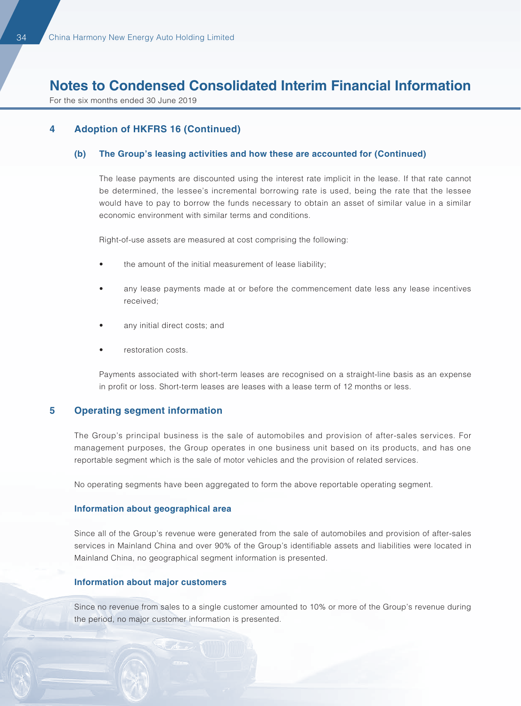For the six months ended 30 June 2019

#### **4 Adoption of HKFRS 16 (Continued)**

#### **(b) The Group's leasing activities and how these are accounted for (Continued)**

The lease payments are discounted using the interest rate implicit in the lease. If that rate cannot be determined, the lessee's incremental borrowing rate is used, being the rate that the lessee would have to pay to borrow the funds necessary to obtain an asset of similar value in a similar economic environment with similar terms and conditions.

Right-of-use assets are measured at cost comprising the following:

- the amount of the initial measurement of lease liability;
- any lease payments made at or before the commencement date less any lease incentives received;
- any initial direct costs; and
- restoration costs.

Payments associated with short-term leases are recognised on a straight-line basis as an expense in profit or loss. Short-term leases are leases with a lease term of 12 months or less.

#### **5 Operating segment information**

The Group's principal business is the sale of automobiles and provision of after-sales services. For management purposes, the Group operates in one business unit based on its products, and has one reportable segment which is the sale of motor vehicles and the provision of related services.

No operating segments have been aggregated to form the above reportable operating segment.

#### **Information about geographical area**

Since all of the Group's revenue were generated from the sale of automobiles and provision of after-sales services in Mainland China and over 90% of the Group's identifiable assets and liabilities were located in Mainland China, no geographical segment information is presented.

#### **Information about major customers**

Since no revenue from sales to a single customer amounted to 10% or more of the Group's revenue during the period, no major customer information is presented.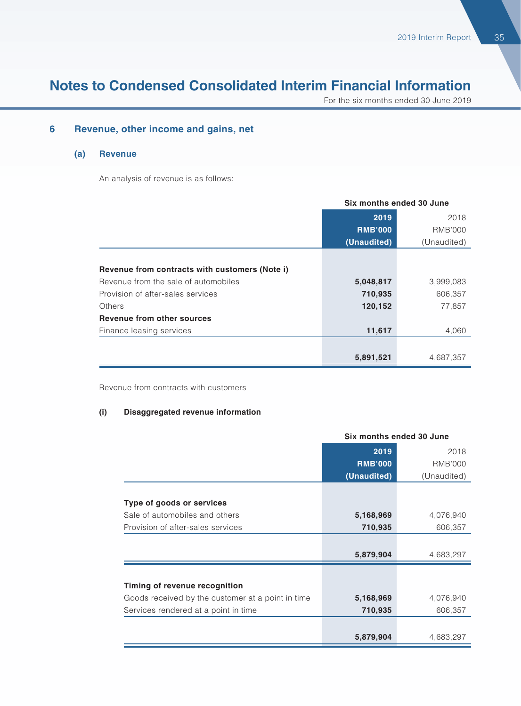For the six months ended 30 June 2019

#### **6 Revenue, other income and gains, net**

#### **(a) Revenue**

An analysis of revenue is as follows:

|                                                | Six months ended 30 June |                |
|------------------------------------------------|--------------------------|----------------|
|                                                | 2019                     | 2018           |
|                                                | <b>RMB'000</b>           | <b>RMB'000</b> |
|                                                | (Unaudited)              | (Unaudited)    |
|                                                |                          |                |
| Revenue from contracts with customers (Note i) |                          |                |
| Revenue from the sale of automobiles           | 5,048,817                | 3,999,083      |
| Provision of after-sales services              | 710,935                  | 606,357        |
| Others                                         | 120,152                  | 77,857         |
| <b>Revenue from other sources</b>              |                          |                |
| Finance leasing services                       | 11,617                   | 4,060          |
|                                                |                          |                |
|                                                | 5,891,521                | 4,687,357      |

Revenue from contracts with customers

#### **(i) Disaggregated revenue information**

|                                                   | Six months ended 30 June |                |
|---------------------------------------------------|--------------------------|----------------|
|                                                   | 2019                     | 2018           |
|                                                   | <b>RMB'000</b>           | <b>RMB'000</b> |
|                                                   | (Unaudited)              | (Unaudited)    |
|                                                   |                          |                |
| Type of goods or services                         |                          |                |
| Sale of automobiles and others                    | 5,168,969                | 4,076,940      |
| Provision of after-sales services                 | 710,935                  | 606,357        |
|                                                   |                          |                |
|                                                   | 5,879,904                | 4,683,297      |
|                                                   |                          |                |
| Timing of revenue recognition                     |                          |                |
| Goods received by the customer at a point in time | 5,168,969                | 4,076,940      |
| Services rendered at a point in time              | 710,935                  | 606,357        |
|                                                   |                          |                |
|                                                   | 5,879,904                | 4,683,297      |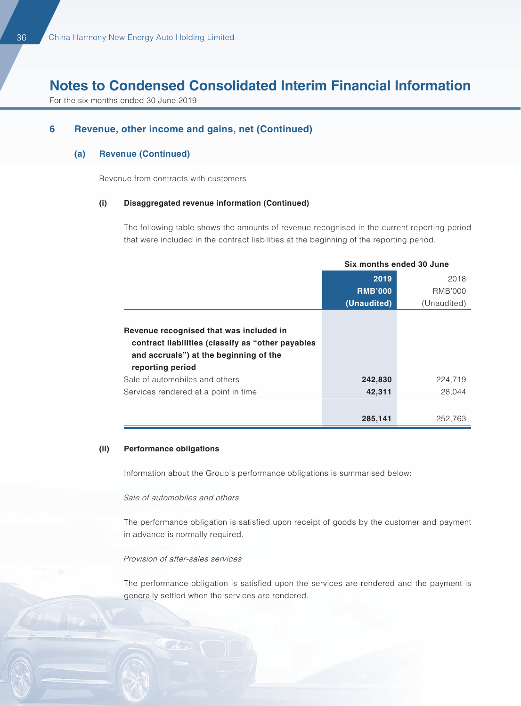For the six months ended 30 June 2019

#### **6 Revenue, other income and gains, net (Continued)**

#### **(a) Revenue (Continued)**

Revenue from contracts with customers

#### **(i) Disaggregated revenue information (Continued)**

The following table shows the amounts of revenue recognised in the current reporting period that were included in the contract liabilities at the beginning of the reporting period.

|                                                                                                                                                            | Six months ended 30 June |             |
|------------------------------------------------------------------------------------------------------------------------------------------------------------|--------------------------|-------------|
|                                                                                                                                                            | 2019                     | 2018        |
|                                                                                                                                                            | <b>RMB'000</b>           | RMB'000     |
|                                                                                                                                                            | (Unaudited)              | (Unaudited) |
| Revenue recognised that was included in<br>contract liabilities (classify as "other payables<br>and accruals") at the beginning of the<br>reporting period |                          |             |
| Sale of automobiles and others                                                                                                                             | 242,830                  | 224,719     |
| Services rendered at a point in time                                                                                                                       | 42,311                   | 28.044      |
|                                                                                                                                                            |                          |             |
|                                                                                                                                                            | 285,141                  | 252,763     |

#### **(ii) Performance obligations**

Information about the Group's performance obligations is summarised below:

#### Sale of automobiles and others

The performance obligation is satisfied upon receipt of goods by the customer and payment in advance is normally required.

#### Provision of after-sales services

The performance obligation is satisfied upon the services are rendered and the payment is generally settled when the services are rendered.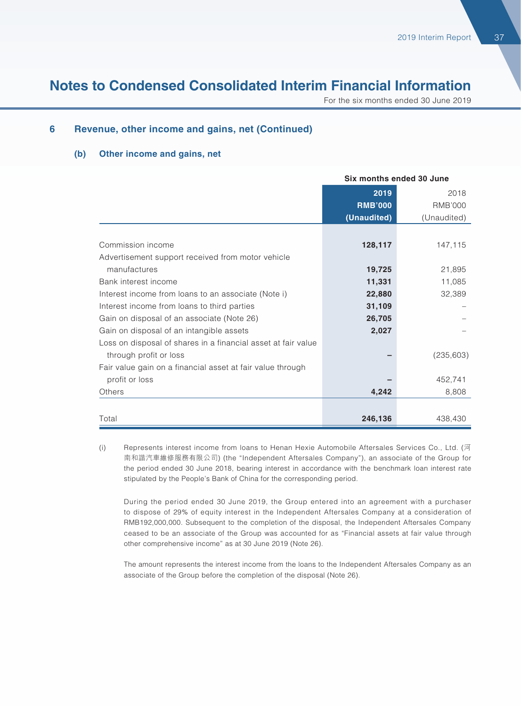For the six months ended 30 June 2019

#### **6 Revenue, other income and gains, net (Continued)**

#### **(b) Other income and gains, net**

|                                                               | Six months ended 30 June |                |
|---------------------------------------------------------------|--------------------------|----------------|
|                                                               | 2019                     | 2018           |
|                                                               | <b>RMB'000</b>           | <b>RMB'000</b> |
|                                                               | (Unaudited)              | (Unaudited)    |
|                                                               |                          |                |
| Commission income                                             | 128,117                  | 147,115        |
| Advertisement support received from motor vehicle             |                          |                |
| manufactures                                                  | 19,725                   | 21,895         |
| Bank interest income                                          | 11,331                   | 11,085         |
| Interest income from loans to an associate (Note i)           | 22,880                   | 32,389         |
| Interest income from loans to third parties                   | 31,109                   |                |
| Gain on disposal of an associate (Note 26)                    | 26,705                   |                |
| Gain on disposal of an intangible assets                      | 2,027                    |                |
| Loss on disposal of shares in a financial asset at fair value |                          |                |
| through profit or loss                                        |                          | (235, 603)     |
| Fair value gain on a financial asset at fair value through    |                          |                |
| profit or loss                                                |                          | 452,741        |
| Others                                                        | 4,242                    | 8,808          |
|                                                               |                          |                |
| Total                                                         | 246,136                  | 438,430        |

(i) Represents interest income from loans to Henan Hexie Automobile Aftersales Services Co., Ltd. (河 南和諧汽車維修服務有限公司) (the "Independent Aftersales Company"), an associate of the Group for the period ended 30 June 2018, bearing interest in accordance with the benchmark loan interest rate stipulated by the People's Bank of China for the corresponding period.

During the period ended 30 June 2019, the Group entered into an agreement with a purchaser to dispose of 29% of equity interest in the Independent Aftersales Company at a consideration of RMB192,000,000. Subsequent to the completion of the disposal, the Independent Aftersales Company ceased to be an associate of the Group was accounted for as "Financial assets at fair value through other comprehensive income" as at 30 June 2019 (Note 26).

The amount represents the interest income from the loans to the Independent Aftersales Company as an associate of the Group before the completion of the disposal (Note 26).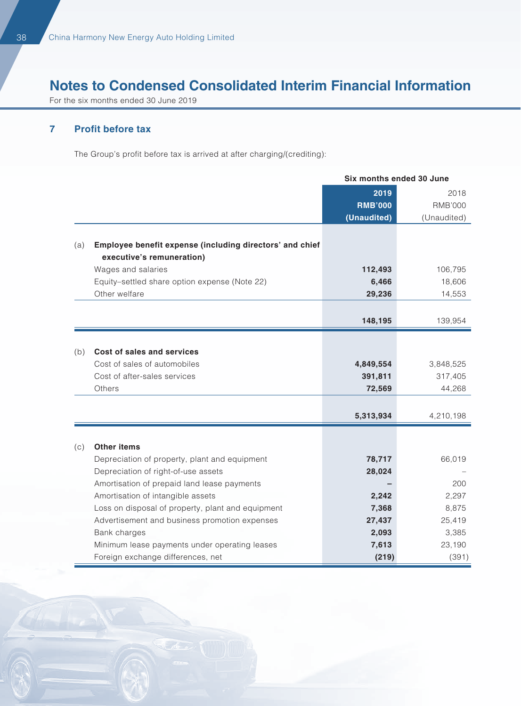For the six months ended 30 June 2019

#### **7 Profit before tax**

The Group's profit before tax is arrived at after charging/(crediting):

|     |                                                                                       | Six months ended 30 June |                |
|-----|---------------------------------------------------------------------------------------|--------------------------|----------------|
|     |                                                                                       | 2019                     | 2018           |
|     |                                                                                       | <b>RMB'000</b>           | <b>RMB'000</b> |
|     |                                                                                       | (Unaudited)              | (Unaudited)    |
|     |                                                                                       |                          |                |
| (a) | Employee benefit expense (including directors' and chief<br>executive's remuneration) |                          |                |
|     | Wages and salaries                                                                    | 112,493                  | 106,795        |
|     | Equity-settled share option expense (Note 22)                                         | 6,466                    | 18,606         |
|     | Other welfare                                                                         | 29,236                   | 14,553         |
|     |                                                                                       |                          |                |
|     |                                                                                       | 148,195                  | 139,954        |
|     |                                                                                       |                          |                |
| (b) | Cost of sales and services                                                            |                          |                |
|     | Cost of sales of automobiles                                                          | 4,849,554                | 3,848,525      |
|     | Cost of after-sales services                                                          | 391,811                  | 317,405        |
|     | Others                                                                                | 72,569                   | 44,268         |
|     |                                                                                       |                          |                |
|     |                                                                                       | 5,313,934                | 4,210,198      |
|     |                                                                                       |                          |                |
| (c) | <b>Other items</b>                                                                    |                          |                |
|     | Depreciation of property, plant and equipment                                         | 78,717                   | 66,019         |
|     | Depreciation of right-of-use assets                                                   | 28,024                   |                |
|     | Amortisation of prepaid land lease payments                                           |                          | 200            |
|     | Amortisation of intangible assets                                                     | 2,242                    | 2,297          |
|     | Loss on disposal of property, plant and equipment                                     | 7,368                    | 8,875          |
|     | Advertisement and business promotion expenses                                         | 27,437                   | 25,419         |
|     | Bank charges                                                                          | 2,093                    | 3,385          |
|     | Minimum lease payments under operating leases                                         | 7,613                    | 23,190         |
|     | Foreign exchange differences, net                                                     | (219)                    | (391)          |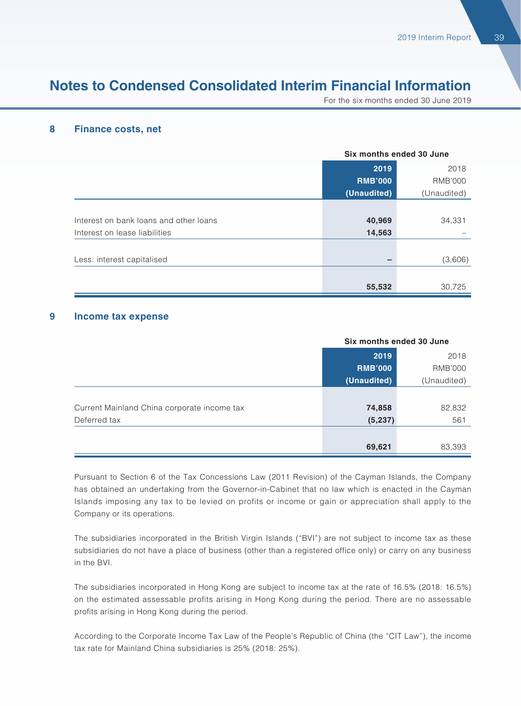For the six months ended 30 June 2019

#### **8 Finance costs, net**

|                                        | Six months ended 30 June |                |
|----------------------------------------|--------------------------|----------------|
|                                        | 2019                     | 2018           |
|                                        | <b>RMB'000</b>           | <b>RMB'000</b> |
|                                        | (Unaudited)              | (Unaudited)    |
|                                        |                          |                |
| Interest on bank loans and other loans | 40,969                   | 34,331         |
| Interest on lease liabilities          | 14,563                   |                |
|                                        |                          |                |
| Less: interest capitalised             |                          | (3,606)        |
|                                        |                          |                |
|                                        | 55,532                   | 30,725         |

#### **9 Income tax expense**

|                                             | Six months ended 30 June |             |
|---------------------------------------------|--------------------------|-------------|
|                                             | 2019                     | 2018        |
|                                             | <b>RMB'000</b>           | RMB'000     |
|                                             | (Unaudited)              | (Unaudited) |
|                                             |                          |             |
| Current Mainland China corporate income tax | 74,858                   | 82,832      |
| Deferred tax                                | (5, 237)                 | 561         |
|                                             |                          |             |
|                                             | 69,621                   | 83,393      |

Pursuant to Section 6 of the Tax Concessions Law (2011 Revision) of the Cayman Islands, the Company has obtained an undertaking from the Governor-in-Cabinet that no law which is enacted in the Cayman Islands imposing any tax to be levied on profits or income or gain or appreciation shall apply to the Company or its operations.

The subsidiaries incorporated in the British Virgin Islands ("BVI") are not subject to income tax as these subsidiaries do not have a place of business (other than a registered office only) or carry on any business in the BVI.

The subsidiaries incorporated in Hong Kong are subject to income tax at the rate of 16.5% (2018: 16.5%) on the estimated assessable profits arising in Hong Kong during the period. There are no assessable profits arising in Hong Kong during the period.

According to the Corporate Income Tax Law of the People's Republic of China (the "CIT Law"), the income tax rate for Mainland China subsidiaries is 25% (2018: 25%).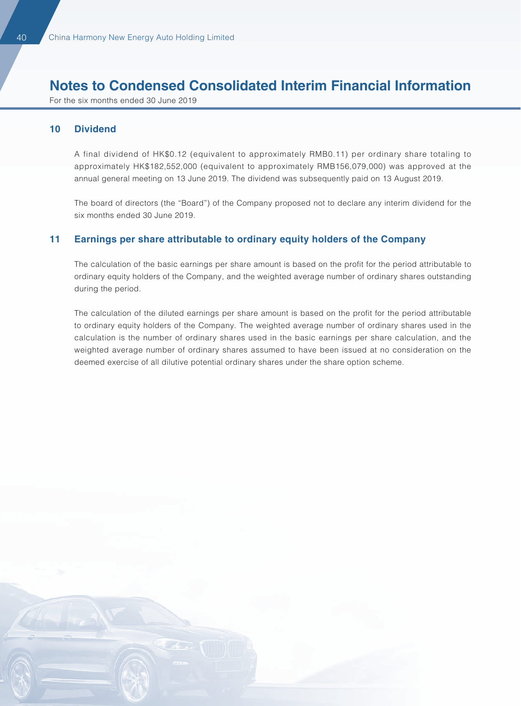For the six months ended 30 June 2019

#### **10 Dividend**

A final dividend of HK\$0.12 (equivalent to approximately RMB0.11) per ordinary share totaling to approximately HK\$182,552,000 (equivalent to approximately RMB156,079,000) was approved at the annual general meeting on 13 June 2019. The dividend was subsequently paid on 13 August 2019.

The board of directors (the "Board") of the Company proposed not to declare any interim dividend for the six months ended 30 June 2019.

#### **11 Earnings per share attributable to ordinary equity holders of the Company**

The calculation of the basic earnings per share amount is based on the profit for the period attributable to ordinary equity holders of the Company, and the weighted average number of ordinary shares outstanding during the period.

The calculation of the diluted earnings per share amount is based on the profit for the period attributable to ordinary equity holders of the Company. The weighted average number of ordinary shares used in the calculation is the number of ordinary shares used in the basic earnings per share calculation, and the weighted average number of ordinary shares assumed to have been issued at no consideration on the deemed exercise of all dilutive potential ordinary shares under the share option scheme.

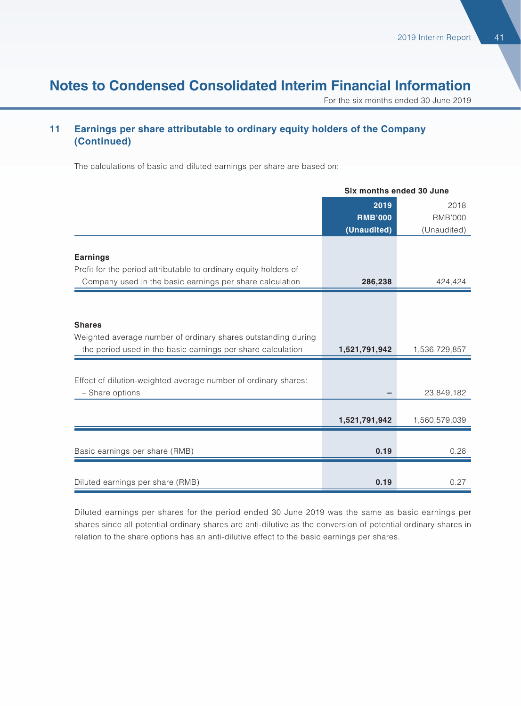For the six months ended 30 June 2019

#### **11 Earnings per share attributable to ordinary equity holders of the Company (Continued)**

The calculations of basic and diluted earnings per share are based on:

|                                                                  | Six months ended 30 June |                |  |
|------------------------------------------------------------------|--------------------------|----------------|--|
|                                                                  | 2019                     | 2018           |  |
|                                                                  | <b>RMB'000</b>           | <b>RMB'000</b> |  |
|                                                                  | (Unaudited)              | (Unaudited)    |  |
|                                                                  |                          |                |  |
| <b>Earnings</b>                                                  |                          |                |  |
| Profit for the period attributable to ordinary equity holders of |                          |                |  |
| Company used in the basic earnings per share calculation         | 286,238                  | 424,424        |  |
|                                                                  |                          |                |  |
|                                                                  |                          |                |  |
| <b>Shares</b>                                                    |                          |                |  |
| Weighted average number of ordinary shares outstanding during    |                          |                |  |
| the period used in the basic earnings per share calculation      | 1,521,791,942            | 1,536,729,857  |  |
|                                                                  |                          |                |  |
| Effect of dilution-weighted average number of ordinary shares:   |                          |                |  |
| - Share options                                                  |                          | 23,849,182     |  |
|                                                                  |                          |                |  |
|                                                                  | 1,521,791,942            | 1,560,579,039  |  |
|                                                                  |                          |                |  |
| Basic earnings per share (RMB)                                   | 0.19                     | 0.28           |  |
|                                                                  |                          |                |  |
| Diluted earnings per share (RMB)                                 | 0.19                     | 0.27           |  |

Diluted earnings per shares for the period ended 30 June 2019 was the same as basic earnings per shares since all potential ordinary shares are anti-dilutive as the conversion of potential ordinary shares in relation to the share options has an anti-dilutive effect to the basic earnings per shares.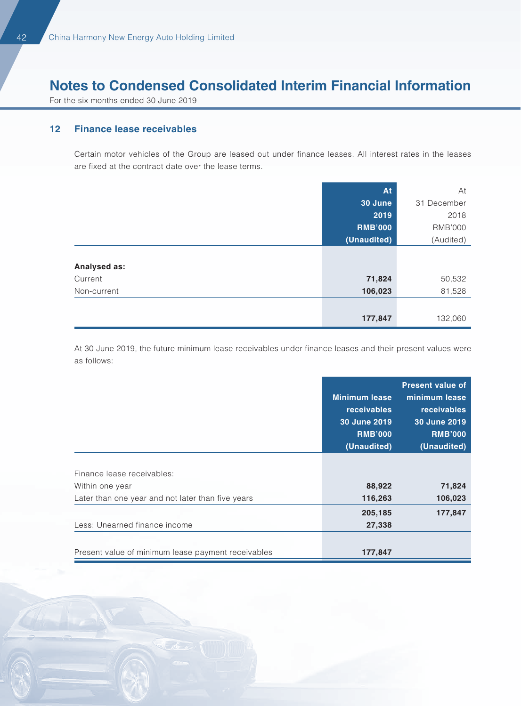For the six months ended 30 June 2019

#### **12 Finance lease receivables**

Certain motor vehicles of the Group are leased out under finance leases. All interest rates in the leases are fixed at the contract date over the lease terms.

|              | At             | At             |
|--------------|----------------|----------------|
|              | 30 June        | 31 December    |
|              | 2019           | 2018           |
|              | <b>RMB'000</b> | <b>RMB'000</b> |
|              | (Unaudited)    | (Audited)      |
|              |                |                |
| Analysed as: |                |                |
| Current      | 71,824         | 50,532         |
| Non-current  | 106,023        | 81,528         |
|              |                |                |
|              | 177,847        | 132,060        |

At 30 June 2019, the future minimum lease receivables under finance leases and their present values were as follows:

|                                                    |                      | <b>Present value of</b> |
|----------------------------------------------------|----------------------|-------------------------|
|                                                    | <b>Minimum lease</b> | minimum lease           |
|                                                    | <b>receivables</b>   | <b>receivables</b>      |
|                                                    | 30 June 2019         | 30 June 2019            |
|                                                    | <b>RMB'000</b>       | <b>RMB'000</b>          |
|                                                    | (Unaudited)          | (Unaudited)             |
|                                                    |                      |                         |
| Finance lease receivables:                         |                      |                         |
| Within one year                                    | 88,922               | 71,824                  |
| Later than one year and not later than five years  | 116,263              | 106,023                 |
|                                                    | 205,185              | 177,847                 |
| Less: Unearned finance income                      | 27,338               |                         |
|                                                    |                      |                         |
| Present value of minimum lease payment receivables | 177,847              |                         |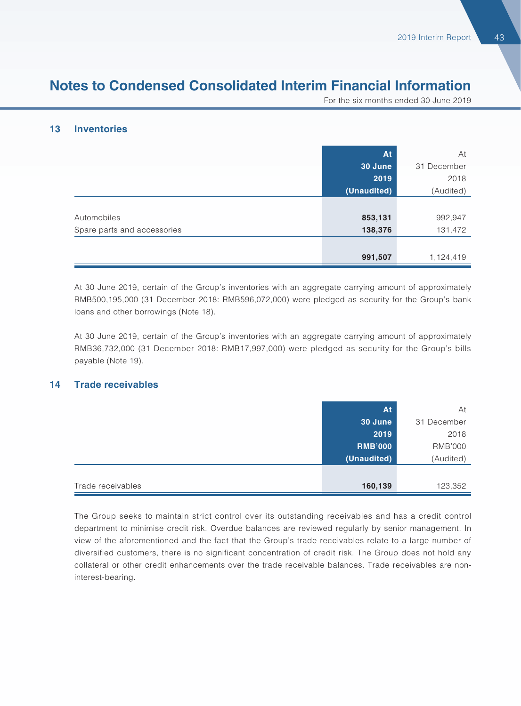For the six months ended 30 June 2019

#### **13 Inventories**

|                             | At          | At          |
|-----------------------------|-------------|-------------|
|                             | 30 June     | 31 December |
|                             | 2019        | 2018        |
|                             | (Unaudited) | (Audited)   |
|                             |             |             |
| Automobiles                 | 853,131     | 992,947     |
| Spare parts and accessories | 138,376     | 131,472     |
|                             |             |             |
|                             | 991,507     | 1,124,419   |

At 30 June 2019, certain of the Group's inventories with an aggregate carrying amount of approximately RMB500,195,000 (31 December 2018: RMB596,072,000) were pledged as security for the Group's bank loans and other borrowings (Note 18).

At 30 June 2019, certain of the Group's inventories with an aggregate carrying amount of approximately RMB36,732,000 (31 December 2018: RMB17,997,000) were pledged as security for the Group's bills payable (Note 19).

#### **14 Trade receivables**

|                   | At             | At             |
|-------------------|----------------|----------------|
|                   | 30 June        | 31 December    |
|                   | 2019           | 2018           |
|                   | <b>RMB'000</b> | <b>RMB'000</b> |
|                   | (Unaudited)    | (Audited)      |
|                   |                |                |
| Trade receivables | 160,139        | 123,352        |

The Group seeks to maintain strict control over its outstanding receivables and has a credit control department to minimise credit risk. Overdue balances are reviewed regularly by senior management. In view of the aforementioned and the fact that the Group's trade receivables relate to a large number of diversified customers, there is no significant concentration of credit risk. The Group does not hold any collateral or other credit enhancements over the trade receivable balances. Trade receivables are noninterest-bearing.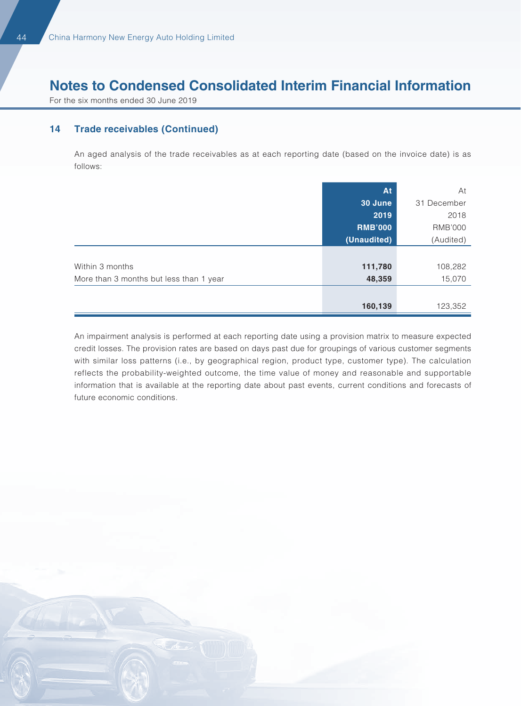For the six months ended 30 June 2019

#### **14 Trade receivables (Continued)**

An aged analysis of the trade receivables as at each reporting date (based on the invoice date) is as follows:

|                                         | At             | At             |
|-----------------------------------------|----------------|----------------|
|                                         | <b>30 June</b> | 31 December    |
|                                         | 2019           | 2018           |
|                                         | <b>RMB'000</b> | <b>RMB'000</b> |
|                                         | (Unaudited)    | (Audited)      |
|                                         |                |                |
| Within 3 months                         | 111,780        | 108,282        |
| More than 3 months but less than 1 year | 48,359         | 15,070         |
|                                         |                |                |
|                                         | 160,139        | 123,352        |

An impairment analysis is performed at each reporting date using a provision matrix to measure expected credit losses. The provision rates are based on days past due for groupings of various customer segments with similar loss patterns (i.e., by geographical region, product type, customer type). The calculation reflects the probability-weighted outcome, the time value of money and reasonable and supportable information that is available at the reporting date about past events, current conditions and forecasts of future economic conditions.

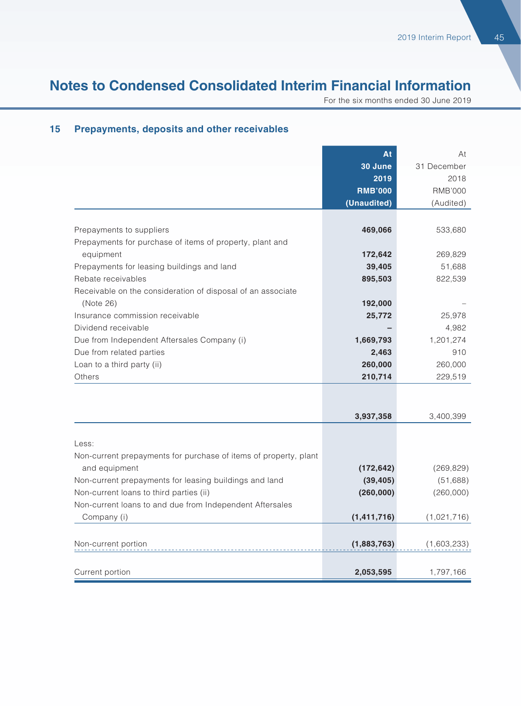For the six months ended 30 June 2019

|                                                                  | At             | At             |
|------------------------------------------------------------------|----------------|----------------|
|                                                                  | 30 June        | 31 December    |
|                                                                  | 2019           | 2018           |
|                                                                  | <b>RMB'000</b> | <b>RMB'000</b> |
|                                                                  | (Unaudited)    | (Audited)      |
| Prepayments to suppliers                                         | 469,066        | 533,680        |
| Prepayments for purchase of items of property, plant and         |                |                |
| equipment                                                        | 172,642        | 269,829        |
| Prepayments for leasing buildings and land                       | 39,405         | 51,688         |
| Rebate receivables                                               | 895,503        | 822,539        |
| Receivable on the consideration of disposal of an associate      |                |                |
| (Note 26)                                                        | 192,000        |                |
| Insurance commission receivable                                  | 25,772         | 25,978         |
| Dividend receivable                                              |                | 4,982          |
| Due from Independent Aftersales Company (i)                      | 1,669,793      | 1,201,274      |
| Due from related parties                                         | 2,463          | 910            |
| Loan to a third party (ii)                                       | 260,000        | 260,000        |
| Others                                                           | 210,714        | 229,519        |
|                                                                  |                |                |
|                                                                  |                |                |
|                                                                  | 3,937,358      | 3,400,399      |
| Less:                                                            |                |                |
| Non-current prepayments for purchase of items of property, plant |                |                |
| and equipment                                                    | (172, 642)     | (269, 829)     |
| Non-current prepayments for leasing buildings and land           | (39, 405)      | (51,688)       |
| Non-current loans to third parties (ii)                          | (260,000)      | (260,000)      |
| Non-current loans to and due from Independent Aftersales         |                |                |
| Company (i)                                                      | (1, 411, 716)  | (1,021,716)    |
|                                                                  |                |                |
| Non-current portion                                              | (1,883,763)    | (1,603,233)    |
| Current portion                                                  | 2,053,595      | 1,797,166      |

#### **15 Prepayments, deposits and other receivables**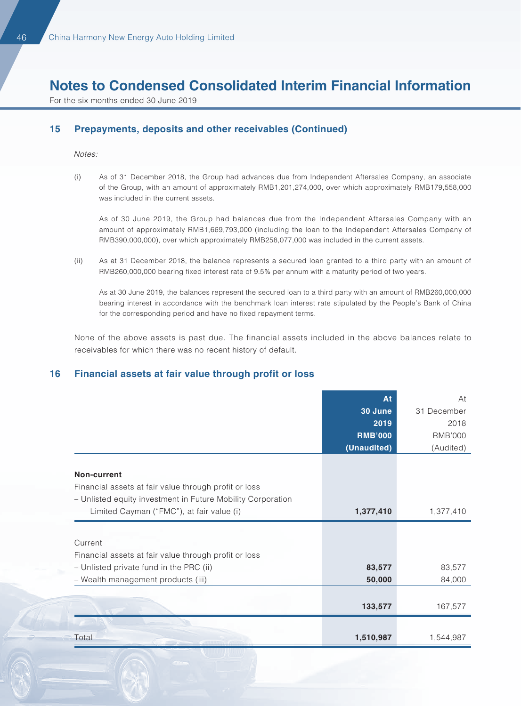For the six months ended 30 June 2019

#### **15 Prepayments, deposits and other receivables (Continued)**

Notes:

(i) As of 31 December 2018, the Group had advances due from Independent Aftersales Company, an associate of the Group, with an amount of approximately RMB1,201,274,000, over which approximately RMB179,558,000 was included in the current assets.

As of 30 June 2019, the Group had balances due from the Independent Aftersales Company with an amount of approximately RMB1,669,793,000 (including the loan to the Independent Aftersales Company of RMB390,000,000), over which approximately RMB258,077,000 was included in the current assets.

(ii) As at 31 December 2018, the balance represents a secured loan granted to a third party with an amount of RMB260,000,000 bearing fixed interest rate of 9.5% per annum with a maturity period of two years.

As at 30 June 2019, the balances represent the secured loan to a third party with an amount of RMB260,000,000 bearing interest in accordance with the benchmark loan interest rate stipulated by the People's Bank of China for the corresponding period and have no fixed repayment terms.

None of the above assets is past due. The financial assets included in the above balances relate to receivables for which there was no recent history of default.

#### **16 Financial assets at fair value through profit or loss**

|                                                             | At             | At             |
|-------------------------------------------------------------|----------------|----------------|
|                                                             | 30 June        | 31 December    |
|                                                             | 2019           | 2018           |
|                                                             | <b>RMB'000</b> | <b>RMB'000</b> |
|                                                             | (Unaudited)    | (Audited)      |
|                                                             |                |                |
| Non-current                                                 |                |                |
| Financial assets at fair value through profit or loss       |                |                |
| - Unlisted equity investment in Future Mobility Corporation |                |                |
| Limited Cayman ("FMC"), at fair value (i)                   | 1,377,410      | 1,377,410      |
|                                                             |                |                |
| Current                                                     |                |                |
| Financial assets at fair value through profit or loss       |                |                |
| - Unlisted private fund in the PRC (ii)                     | 83,577         | 83,577         |
| - Wealth management products (iii)                          | 50,000         | 84,000         |
|                                                             |                |                |
|                                                             | 133,577        | 167,577        |
|                                                             |                |                |
| Total                                                       | 1,510,987      | 1,544,987      |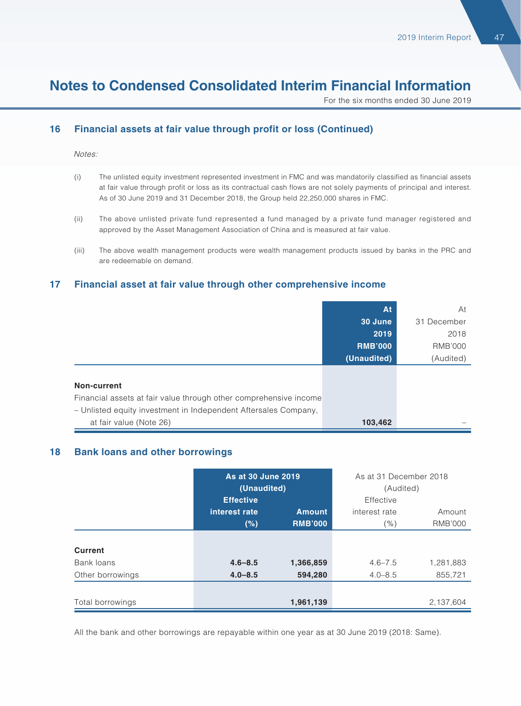For the six months ended 30 June 2019

#### **16 Financial assets at fair value through profit or loss (Continued)**

Notes:

- (i) The unlisted equity investment represented investment in FMC and was mandatorily classified as financial assets at fair value through profit or loss as its contractual cash flows are not solely payments of principal and interest. As of 30 June 2019 and 31 December 2018, the Group held 22,250,000 shares in FMC.
- (ii) The above unlisted private fund represented a fund managed by a private fund manager registered and approved by the Asset Management Association of China and is measured at fair value.
- (iii) The above wealth management products were wealth management products issued by banks in the PRC and are redeemable on demand.

#### **17 Financial asset at fair value through other comprehensive income**

|                                                                   | At             | At             |
|-------------------------------------------------------------------|----------------|----------------|
|                                                                   | 30 June        | 31 December    |
|                                                                   | 2019           | 2018           |
|                                                                   | <b>RMB'000</b> | <b>RMB'000</b> |
|                                                                   | (Unaudited)    | (Audited)      |
|                                                                   |                |                |
| Non-current                                                       |                |                |
| Financial assets at fair value through other comprehensive income |                |                |
| - Unlisted equity investment in Independent Aftersales Company,   |                |                |
| at fair value (Note 26)                                           | 103,462        |                |

#### **18 Bank loans and other borrowings**

|                  | As at 30 June 2019<br>(Unaudited) |                | As at 31 December 2018<br>(Audited) |                |
|------------------|-----------------------------------|----------------|-------------------------------------|----------------|
|                  | <b>Effective</b>                  |                | Effective                           |                |
|                  | interest rate                     | <b>Amount</b>  | interest rate                       | Amount         |
|                  | (%)                               | <b>RMB'000</b> | $\%)$                               | <b>RMB'000</b> |
|                  |                                   |                |                                     |                |
| <b>Current</b>   |                                   |                |                                     |                |
| Bank loans       | $4.6 - 8.5$                       | 1,366,859      | $4.6 - 7.5$                         | 1,281,883      |
| Other borrowings | $4.0 - 8.5$                       | 594,280        | $4.0 - 8.5$                         | 855,721        |
|                  |                                   |                |                                     |                |
| Total borrowings |                                   | 1,961,139      |                                     | 2,137,604      |

All the bank and other borrowings are repayable within one year as at 30 June 2019 (2018: Same).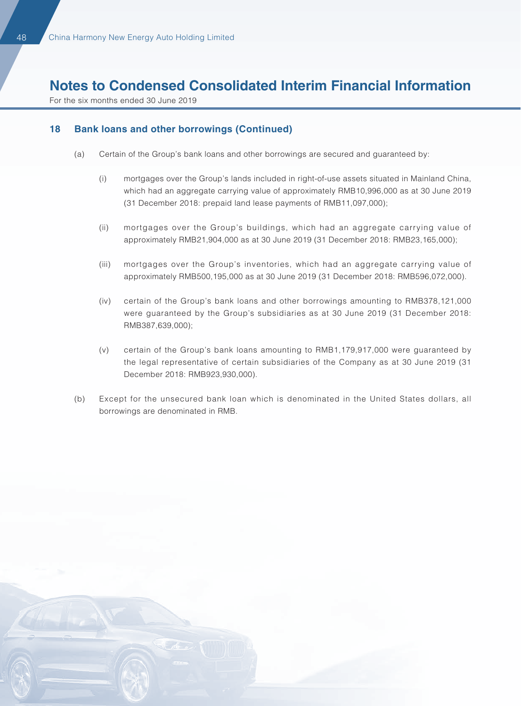For the six months ended 30 June 2019

#### **18 Bank loans and other borrowings (Continued)**

- (a) Certain of the Group's bank loans and other borrowings are secured and guaranteed by:
	- (i) mortgages over the Group's lands included in right-of-use assets situated in Mainland China, which had an aggregate carrying value of approximately RMB10,996,000 as at 30 June 2019 (31 December 2018: prepaid land lease payments of RMB11,097,000);
	- (ii) mortgages over the Group's buildings, which had an aggregate carrying value of approximately RMB21,904,000 as at 30 June 2019 (31 December 2018: RMB23,165,000);
	- (iii) mortgages over the Group's inventories, which had an aggregate carrying value of approximately RMB500,195,000 as at 30 June 2019 (31 December 2018: RMB596,072,000).
	- (iv) certain of the Group's bank loans and other borrowings amounting to RMB378,121,000 were guaranteed by the Group's subsidiaries as at 30 June 2019 (31 December 2018: RMB387,639,000);
	- (v) certain of the Group's bank loans amounting to RMB1,179,917,000 were guaranteed by the legal representative of certain subsidiaries of the Company as at 30 June 2019 (31 December 2018: RMB923,930,000).
- (b) Except for the unsecured bank loan which is denominated in the United States dollars, all borrowings are denominated in RMB.

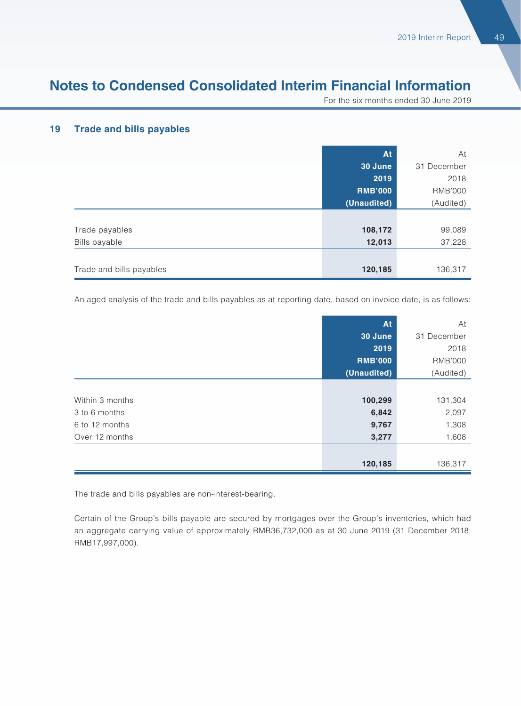For the six months ended 30 June 2019

#### **19 Trade and bills payables**

|                          | At             | At             |
|--------------------------|----------------|----------------|
|                          | 30 June        | 31 December    |
|                          | 2019           | 2018           |
|                          | <b>RMB'000</b> | <b>RMB'000</b> |
|                          | (Unaudited)    | (Audited)      |
|                          |                |                |
| Trade payables           | 108,172        | 99,089         |
| Bills payable            | 12,013         | 37,228         |
|                          |                |                |
| Trade and bills payables | 120,185        | 136,317        |

An aged analysis of the trade and bills payables as at reporting date, based on invoice date, is as follows:

|                 | At             | At             |
|-----------------|----------------|----------------|
|                 | 30 June        | 31 December    |
|                 | 2019           | 2018           |
|                 | <b>RMB'000</b> | <b>RMB'000</b> |
|                 | (Unaudited)    | (Audited)      |
|                 |                |                |
| Within 3 months | 100,299        | 131,304        |
| 3 to 6 months   | 6,842          | 2,097          |
| 6 to 12 months  | 9,767          | 1,308          |
| Over 12 months  | 3,277          | 1,608          |
|                 |                |                |
|                 | 120,185        | 136,317        |

The trade and bills payables are non-interest-bearing.

Certain of the Group's bills payable are secured by mortgages over the Group's inventories, which had an aggregate carrying value of approximately RMB36,732,000 as at 30 June 2019 (31 December 2018: RMB17,997,000).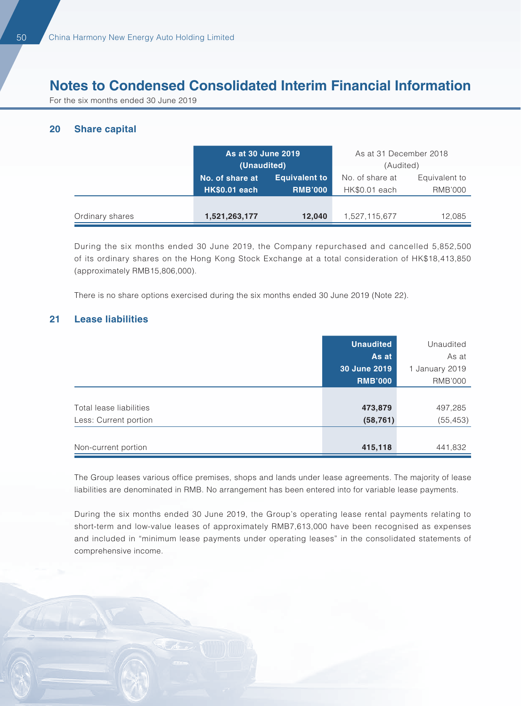For the six months ended 30 June 2019

#### **20 Share capital**

|                 | As at 30 June 2019<br>(Unaudited)       |                                        | As at 31 December 2018<br>(Audited) |                                 |
|-----------------|-----------------------------------------|----------------------------------------|-------------------------------------|---------------------------------|
|                 | No. of share at<br><b>HK\$0.01 each</b> | <b>Equivalent to</b><br><b>RMB'000</b> | No. of share at<br>HK\$0.01 each    | Equivalent to<br><b>RMB'000</b> |
| Ordinary shares | 1,521,263,177                           | 12,040                                 | 1,527,115,677                       | 12.085                          |

During the six months ended 30 June 2019, the Company repurchased and cancelled 5,852,500 of its ordinary shares on the Hong Kong Stock Exchange at a total consideration of HK\$18,413,850 (approximately RMB15,806,000).

There is no share options exercised during the six months ended 30 June 2019 (Note 22).

#### **21 Lease liabilities**

|                         | <b>Unaudited</b> | Unaudited      |
|-------------------------|------------------|----------------|
|                         | As at            | As at          |
|                         | 30 June 2019     | January 2019   |
|                         | <b>RMB'000</b>   | <b>RMB'000</b> |
|                         |                  |                |
| Total lease liabilities | 473,879          | 497,285        |
| Less: Current portion   | (58, 761)        | (55, 453)      |
|                         |                  |                |
| Non-current portion     | 415,118          | 441,832        |

The Group leases various office premises, shops and lands under lease agreements. The majority of lease liabilities are denominated in RMB. No arrangement has been entered into for variable lease payments.

During the six months ended 30 June 2019, the Group's operating lease rental payments relating to short-term and low-value leases of approximately RMB7,613,000 have been recognised as expenses and included in "minimum lease payments under operating leases" in the consolidated statements of comprehensive income.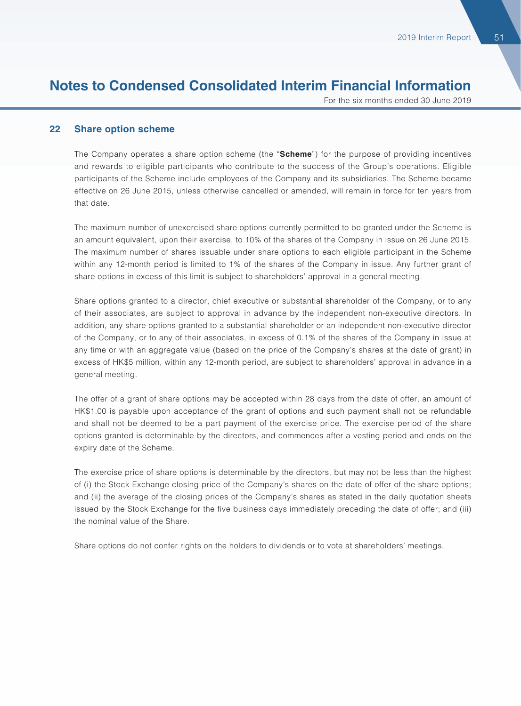For the six months ended 30 June 2019

#### **22 Share option scheme**

The Company operates a share option scheme (the "**Scheme**") for the purpose of providing incentives and rewards to eligible participants who contribute to the success of the Group's operations. Eligible participants of the Scheme include employees of the Company and its subsidiaries. The Scheme became effective on 26 June 2015, unless otherwise cancelled or amended, will remain in force for ten years from that date.

The maximum number of unexercised share options currently permitted to be granted under the Scheme is an amount equivalent, upon their exercise, to 10% of the shares of the Company in issue on 26 June 2015. The maximum number of shares issuable under share options to each eligible participant in the Scheme within any 12-month period is limited to 1% of the shares of the Company in issue. Any further grant of share options in excess of this limit is subject to shareholders' approval in a general meeting.

Share options granted to a director, chief executive or substantial shareholder of the Company, or to any of their associates, are subject to approval in advance by the independent non-executive directors. In addition, any share options granted to a substantial shareholder or an independent non-executive director of the Company, or to any of their associates, in excess of 0.1% of the shares of the Company in issue at any time or with an aggregate value (based on the price of the Company's shares at the date of grant) in excess of HK\$5 million, within any 12-month period, are subject to shareholders' approval in advance in a general meeting.

The offer of a grant of share options may be accepted within 28 days from the date of offer, an amount of HK\$1.00 is payable upon acceptance of the grant of options and such payment shall not be refundable and shall not be deemed to be a part payment of the exercise price. The exercise period of the share options granted is determinable by the directors, and commences after a vesting period and ends on the expiry date of the Scheme.

The exercise price of share options is determinable by the directors, but may not be less than the highest of (i) the Stock Exchange closing price of the Company's shares on the date of offer of the share options; and (ii) the average of the closing prices of the Company's shares as stated in the daily quotation sheets issued by the Stock Exchange for the five business days immediately preceding the date of offer; and (iii) the nominal value of the Share.

Share options do not confer rights on the holders to dividends or to vote at shareholders' meetings.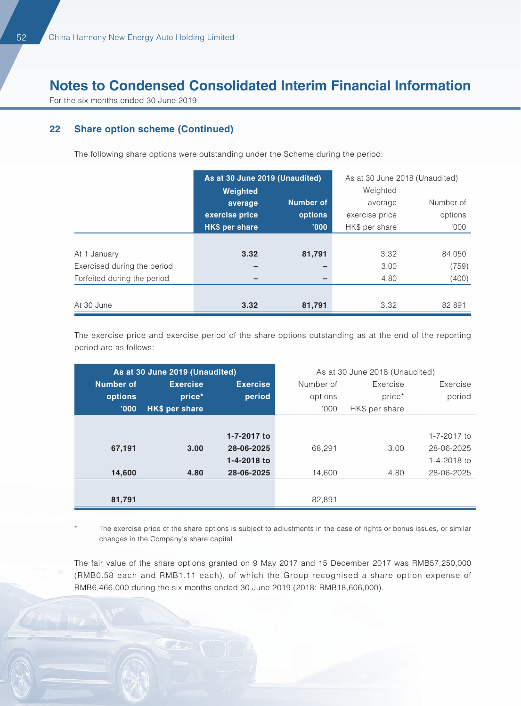For the six months ended 30 June 2019

#### **22 Share option scheme (Continued)**

The following share options were outstanding under the Scheme during the period:

|                             | As at 30 June 2019 (Unaudited) |                  | As at 30 June 2018 (Unaudited) |           |
|-----------------------------|--------------------------------|------------------|--------------------------------|-----------|
|                             | Weighted                       |                  | Weighted                       |           |
|                             | average                        | <b>Number of</b> | average                        | Number of |
|                             | exercise price                 | options          | exercise price                 | options   |
|                             | HK\$ per share                 | '000'            | HK\$ per share                 | '000'     |
|                             |                                |                  |                                |           |
| At 1 January                | 3.32                           | 81,791           | 3.32                           | 84,050    |
| Exercised during the period |                                |                  | 3.00                           | (759)     |
| Forfeited during the period | -                              |                  | 4.80                           | (400)     |
|                             |                                |                  |                                |           |
| At 30 June                  | 3.32                           | 81,791           | 3.32                           | 82,891    |

The exercise price and exercise period of the share options outstanding as at the end of the reporting period are as follows:

|           | As at 30 June 2019 (Unaudited) |                 | As at 30 June 2018 (Unaudited) |                |             |
|-----------|--------------------------------|-----------------|--------------------------------|----------------|-------------|
| Number of | <b>Exercise</b>                | <b>Exercise</b> | Number of                      | Exercise       | Exercise    |
| options   | price*                         | period          | options                        | price*         | period      |
| '000      | <b>HK\$ per share</b>          |                 | 000'                           | HK\$ per share |             |
|           |                                |                 |                                |                |             |
|           |                                | 1-7-2017 to     |                                |                | 1-7-2017 to |
| 67,191    | 3.00                           | 28-06-2025      | 68.291                         | 3.00           | 28-06-2025  |
|           |                                | 1-4-2018 to     |                                |                | 1-4-2018 to |
| 14,600    | 4.80                           | 28-06-2025      | 14,600                         | 4.80           | 28-06-2025  |
|           |                                |                 |                                |                |             |
| 81,791    |                                |                 | 82.891                         |                |             |

The exercise price of the share options is subject to adjustments in the case of rights or bonus issues, or similar changes in the Company's share capital.

The fair value of the share options granted on 9 May 2017 and 15 December 2017 was RMB57,250,000 (RMB0.58 each and RMB1.11 each), of which the Group recognised a share option expense of RMB6,466,000 during the six months ended 30 June 2019 (2018: RMB18,606,000).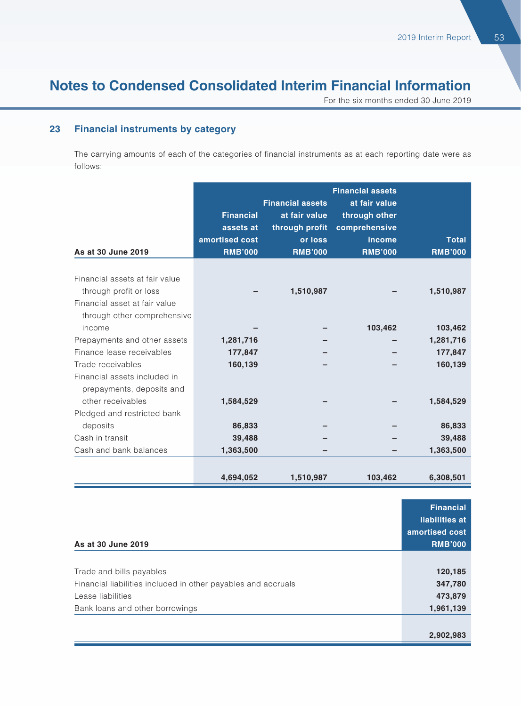For the six months ended 30 June 2019

#### **23 Financial instruments by category**

The carrying amounts of each of the categories of financial instruments as at each reporting date were as follows:

| As at 30 June 2019                                                                                                       | <b>Financial</b><br>assets at<br>amortised cost<br><b>RMB'000</b> | <b>Financial assets</b><br>at fair value<br>through profit<br>or loss<br><b>RMB'000</b> | <b>Financial assets</b><br>at fair value<br>through other<br>comprehensive<br>income<br><b>RMB'000</b> | <b>Total</b><br><b>RMB'000</b>             |
|--------------------------------------------------------------------------------------------------------------------------|-------------------------------------------------------------------|-----------------------------------------------------------------------------------------|--------------------------------------------------------------------------------------------------------|--------------------------------------------|
| Financial assets at fair value<br>through profit or loss<br>Financial asset at fair value<br>through other comprehensive |                                                                   | 1,510,987                                                                               |                                                                                                        | 1,510,987                                  |
| income<br>Prepayments and other assets<br>Finance lease receivables<br>Trade receivables                                 | 1,281,716<br>177,847<br>160,139                                   |                                                                                         | 103,462                                                                                                | 103,462<br>1,281,716<br>177,847<br>160,139 |
| Financial assets included in<br>prepayments, deposits and<br>other receivables<br>Pledged and restricted bank            | 1,584,529                                                         |                                                                                         |                                                                                                        | 1,584,529                                  |
| deposits<br>Cash in transit<br>Cash and bank balances                                                                    | 86,833<br>39,488<br>1,363,500                                     |                                                                                         |                                                                                                        | 86,833<br>39,488<br>1,363,500              |
|                                                                                                                          | 4,694,052                                                         | 1,510,987                                                                               | 103,462                                                                                                | 6,308,501                                  |

| As at 30 June 2019                                            | <b>Financial</b><br>liabilities at<br>amortised cost<br><b>RMB'000</b> |
|---------------------------------------------------------------|------------------------------------------------------------------------|
|                                                               |                                                                        |
| Trade and bills payables                                      | 120,185                                                                |
| Financial liabilities included in other payables and accruals | 347,780                                                                |
| Lease liabilities                                             | 473,879                                                                |
| Bank loans and other borrowings                               | 1,961,139                                                              |
|                                                               |                                                                        |
|                                                               | 2,902,983                                                              |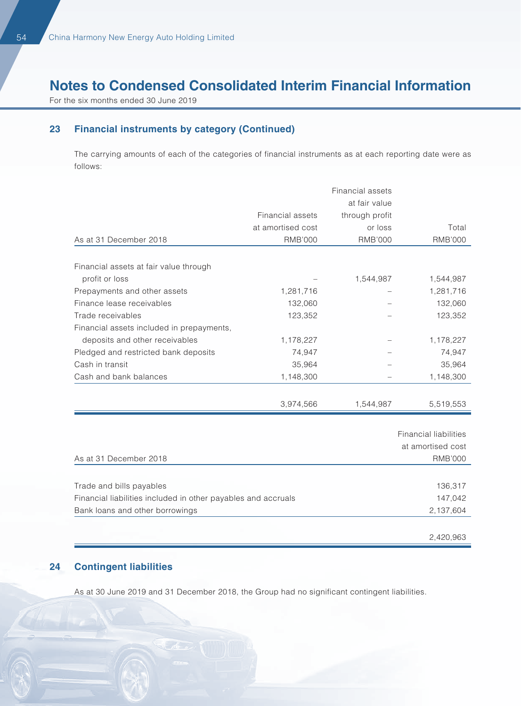For the six months ended 30 June 2019

#### **23 Financial instruments by category (Continued)**

The carrying amounts of each of the categories of financial instruments as at each reporting date were as follows:

| at fair value<br>Financial assets<br>through profit<br>at amortised cost<br>or loss<br>Total<br><b>RMB'000</b><br><b>RMB'000</b><br><b>RMB'000</b><br>As at 31 December 2018<br>Financial assets at fair value through<br>profit or loss<br>1,544,987<br>1,544,987<br>Prepayments and other assets<br>1,281,716<br>1,281,716<br>Finance lease receivables<br>132,060<br>132,060<br>Trade receivables<br>123,352<br>123,352<br>Financial assets included in prepayments,<br>deposits and other receivables<br>1,178,227<br>1,178,227<br>Pledged and restricted bank deposits<br>74,947<br>74,947<br>Cash in transit<br>35,964<br>35,964<br>Cash and bank balances<br>1,148,300<br>1,148,300<br>3,974,566<br>1,544,987<br>5,519,553<br><b>Financial liabilities</b><br>at amortised cost<br>As at 31 December 2018<br><b>RMB'000</b><br>136,317<br>Trade and bills payables<br>Financial liabilities included in other payables and accruals<br>147,042 |                                 |  | Financial assets |           |
|-------------------------------------------------------------------------------------------------------------------------------------------------------------------------------------------------------------------------------------------------------------------------------------------------------------------------------------------------------------------------------------------------------------------------------------------------------------------------------------------------------------------------------------------------------------------------------------------------------------------------------------------------------------------------------------------------------------------------------------------------------------------------------------------------------------------------------------------------------------------------------------------------------------------------------------------------------|---------------------------------|--|------------------|-----------|
|                                                                                                                                                                                                                                                                                                                                                                                                                                                                                                                                                                                                                                                                                                                                                                                                                                                                                                                                                       |                                 |  |                  |           |
|                                                                                                                                                                                                                                                                                                                                                                                                                                                                                                                                                                                                                                                                                                                                                                                                                                                                                                                                                       |                                 |  |                  |           |
|                                                                                                                                                                                                                                                                                                                                                                                                                                                                                                                                                                                                                                                                                                                                                                                                                                                                                                                                                       |                                 |  |                  |           |
|                                                                                                                                                                                                                                                                                                                                                                                                                                                                                                                                                                                                                                                                                                                                                                                                                                                                                                                                                       |                                 |  |                  |           |
|                                                                                                                                                                                                                                                                                                                                                                                                                                                                                                                                                                                                                                                                                                                                                                                                                                                                                                                                                       |                                 |  |                  |           |
|                                                                                                                                                                                                                                                                                                                                                                                                                                                                                                                                                                                                                                                                                                                                                                                                                                                                                                                                                       |                                 |  |                  |           |
|                                                                                                                                                                                                                                                                                                                                                                                                                                                                                                                                                                                                                                                                                                                                                                                                                                                                                                                                                       |                                 |  |                  |           |
|                                                                                                                                                                                                                                                                                                                                                                                                                                                                                                                                                                                                                                                                                                                                                                                                                                                                                                                                                       |                                 |  |                  |           |
|                                                                                                                                                                                                                                                                                                                                                                                                                                                                                                                                                                                                                                                                                                                                                                                                                                                                                                                                                       |                                 |  |                  |           |
|                                                                                                                                                                                                                                                                                                                                                                                                                                                                                                                                                                                                                                                                                                                                                                                                                                                                                                                                                       |                                 |  |                  |           |
|                                                                                                                                                                                                                                                                                                                                                                                                                                                                                                                                                                                                                                                                                                                                                                                                                                                                                                                                                       |                                 |  |                  |           |
|                                                                                                                                                                                                                                                                                                                                                                                                                                                                                                                                                                                                                                                                                                                                                                                                                                                                                                                                                       |                                 |  |                  |           |
|                                                                                                                                                                                                                                                                                                                                                                                                                                                                                                                                                                                                                                                                                                                                                                                                                                                                                                                                                       |                                 |  |                  |           |
|                                                                                                                                                                                                                                                                                                                                                                                                                                                                                                                                                                                                                                                                                                                                                                                                                                                                                                                                                       |                                 |  |                  |           |
|                                                                                                                                                                                                                                                                                                                                                                                                                                                                                                                                                                                                                                                                                                                                                                                                                                                                                                                                                       |                                 |  |                  |           |
|                                                                                                                                                                                                                                                                                                                                                                                                                                                                                                                                                                                                                                                                                                                                                                                                                                                                                                                                                       |                                 |  |                  |           |
|                                                                                                                                                                                                                                                                                                                                                                                                                                                                                                                                                                                                                                                                                                                                                                                                                                                                                                                                                       |                                 |  |                  |           |
|                                                                                                                                                                                                                                                                                                                                                                                                                                                                                                                                                                                                                                                                                                                                                                                                                                                                                                                                                       |                                 |  |                  |           |
|                                                                                                                                                                                                                                                                                                                                                                                                                                                                                                                                                                                                                                                                                                                                                                                                                                                                                                                                                       |                                 |  |                  |           |
|                                                                                                                                                                                                                                                                                                                                                                                                                                                                                                                                                                                                                                                                                                                                                                                                                                                                                                                                                       |                                 |  |                  |           |
|                                                                                                                                                                                                                                                                                                                                                                                                                                                                                                                                                                                                                                                                                                                                                                                                                                                                                                                                                       |                                 |  |                  |           |
|                                                                                                                                                                                                                                                                                                                                                                                                                                                                                                                                                                                                                                                                                                                                                                                                                                                                                                                                                       |                                 |  |                  |           |
|                                                                                                                                                                                                                                                                                                                                                                                                                                                                                                                                                                                                                                                                                                                                                                                                                                                                                                                                                       |                                 |  |                  |           |
|                                                                                                                                                                                                                                                                                                                                                                                                                                                                                                                                                                                                                                                                                                                                                                                                                                                                                                                                                       |                                 |  |                  |           |
|                                                                                                                                                                                                                                                                                                                                                                                                                                                                                                                                                                                                                                                                                                                                                                                                                                                                                                                                                       | Bank loans and other borrowings |  |                  | 2,137,604 |
|                                                                                                                                                                                                                                                                                                                                                                                                                                                                                                                                                                                                                                                                                                                                                                                                                                                                                                                                                       |                                 |  |                  |           |
| 2,420,963                                                                                                                                                                                                                                                                                                                                                                                                                                                                                                                                                                                                                                                                                                                                                                                                                                                                                                                                             |                                 |  |                  |           |

#### **24 Contingent liabilities**

As at 30 June 2019 and 31 December 2018, the Group had no significant contingent liabilities.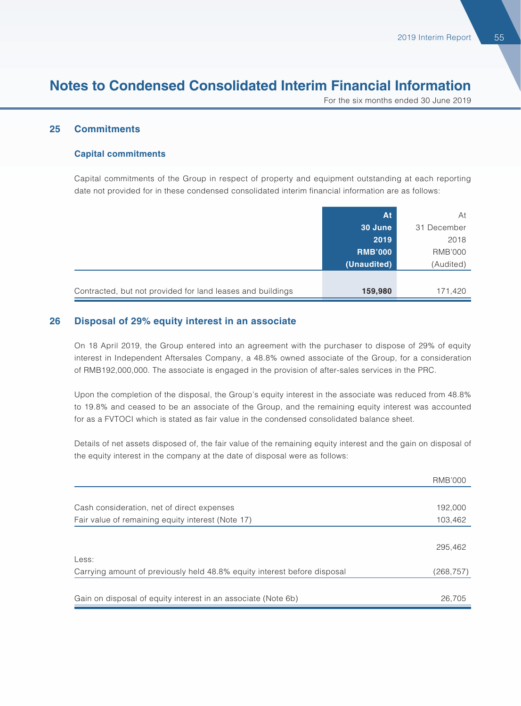For the six months ended 30 June 2019

#### **25 Commitments**

#### **Capital commitments**

Capital commitments of the Group in respect of property and equipment outstanding at each reporting date not provided for in these condensed consolidated interim financial information are as follows:

|                                                            | <b>At</b>      | At          |
|------------------------------------------------------------|----------------|-------------|
|                                                            | 30 June        | 31 December |
|                                                            | 2019           | 2018        |
|                                                            | <b>RMB'000</b> | RMB'000     |
|                                                            | (Unaudited)    | (Audited)   |
|                                                            |                |             |
| Contracted, but not provided for land leases and buildings | 159,980        | 171,420     |

#### **26 Disposal of 29% equity interest in an associate**

On 18 April 2019, the Group entered into an agreement with the purchaser to dispose of 29% of equity interest in Independent Aftersales Company, a 48.8% owned associate of the Group, for a consideration of RMB192,000,000. The associate is engaged in the provision of after-sales services in the PRC.

Upon the completion of the disposal, the Group's equity interest in the associate was reduced from 48.8% to 19.8% and ceased to be an associate of the Group, and the remaining equity interest was accounted for as a FVTOCI which is stated as fair value in the condensed consolidated balance sheet.

Details of net assets disposed of, the fair value of the remaining equity interest and the gain on disposal of the equity interest in the company at the date of disposal were as follows:

|                                                                          | <b>RMB'000</b> |
|--------------------------------------------------------------------------|----------------|
|                                                                          |                |
| Cash consideration, net of direct expenses                               | 192,000        |
| Fair value of remaining equity interest (Note 17)                        | 103,462        |
|                                                                          |                |
|                                                                          | 295,462        |
| Less:                                                                    |                |
| Carrying amount of previously held 48.8% equity interest before disposal | (268,757)      |
|                                                                          |                |
| Gain on disposal of equity interest in an associate (Note 6b)            | 26,705         |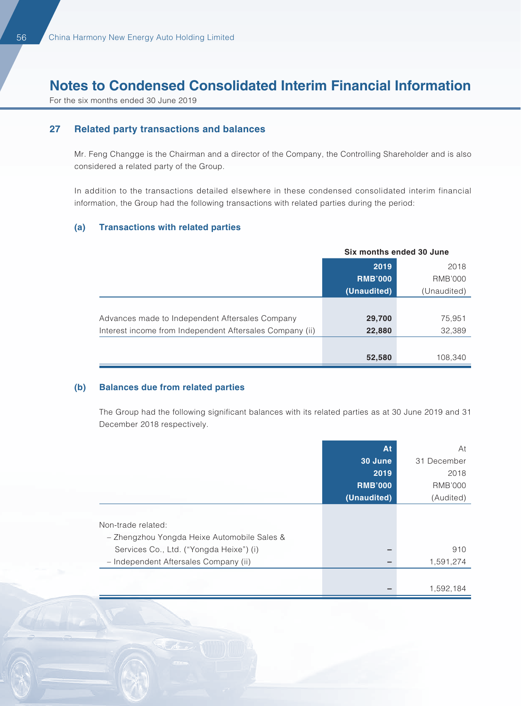For the six months ended 30 June 2019

#### **27 Related party transactions and balances**

Mr. Feng Changge is the Chairman and a director of the Company, the Controlling Shareholder and is also considered a related party of the Group.

In addition to the transactions detailed elsewhere in these condensed consolidated interim financial information, the Group had the following transactions with related parties during the period:

#### **(a) Transactions with related parties**

|                                                          | Six months ended 30 June |                |
|----------------------------------------------------------|--------------------------|----------------|
|                                                          | 2019                     | 2018           |
|                                                          | <b>RMB'000</b>           | <b>RMB'000</b> |
|                                                          | (Unaudited)              | (Unaudited)    |
|                                                          |                          |                |
| Advances made to Independent Aftersales Company          | 29,700                   | 75,951         |
| Interest income from Independent Aftersales Company (ii) | 22,880                   | 32,389         |
|                                                          |                          |                |
|                                                          | 52,580                   | 108,340        |

#### **(b) Balances due from related parties**

The Group had the following significant balances with its related parties as at 30 June 2019 and 31 December 2018 respectively.

|                                             | At             | At             |
|---------------------------------------------|----------------|----------------|
|                                             | 30 June        | 31 December    |
|                                             | 2019           | 2018           |
|                                             | <b>RMB'000</b> | <b>RMB'000</b> |
|                                             | (Unaudited)    | (Audited)      |
|                                             |                |                |
| Non-trade related:                          |                |                |
| - Zhengzhou Yongda Heixe Automobile Sales & |                |                |
| Services Co., Ltd. ("Yongda Heixe") (i)     |                | 910            |
| - Independent Aftersales Company (ii)       |                | 1,591,274      |
|                                             |                |                |
|                                             |                | 1,592,184      |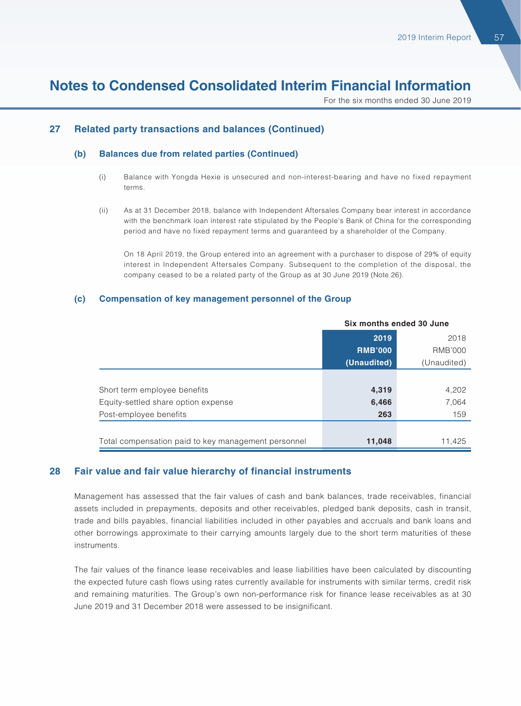For the six months ended 30 June 2019

#### **27 Related party transactions and balances (Continued)**

#### **(b) Balances due from related parties (Continued)**

- (i) Balance with Yongda Hexie is unsecured and non-interest-bearing and have no fixed repayment terms.
- (ii) As at 31 December 2018, balance with Independent Aftersales Company bear interest in accordance with the benchmark loan interest rate stipulated by the People's Bank of China for the corresponding period and have no fixed repayment terms and guaranteed by a shareholder of the Company.

On 18 April 2019, the Group entered into an agreement with a purchaser to dispose of 29% of equity interest in Independent Aftersales Company. Subsequent to the completion of the disposal, the company ceased to be a related party of the Group as at 30 June 2019 (Note 26).

#### **(c) Compensation of key management personnel of the Group**

|                                                     | Six months ended 30 June |                |
|-----------------------------------------------------|--------------------------|----------------|
|                                                     | 2019                     | 2018           |
|                                                     | <b>RMB'000</b>           | <b>RMB'000</b> |
|                                                     | (Unaudited)              | (Unaudited)    |
|                                                     |                          |                |
| Short term employee benefits                        | 4,319                    | 4,202          |
| Equity-settled share option expense                 | 6,466                    | 7,064          |
| Post-employee benefits                              | 263                      | 159            |
|                                                     |                          |                |
| Total compensation paid to key management personnel | 11,048                   | 11.425         |

#### **28 Fair value and fair value hierarchy of financial instruments**

Management has assessed that the fair values of cash and bank balances, trade receivables, financial assets included in prepayments, deposits and other receivables, pledged bank deposits, cash in transit, trade and bills payables, financial liabilities included in other payables and accruals and bank loans and other borrowings approximate to their carrying amounts largely due to the short term maturities of these instruments.

The fair values of the finance lease receivables and lease liabilities have been calculated by discounting the expected future cash flows using rates currently available for instruments with similar terms, credit risk and remaining maturities. The Group's own non-performance risk for finance lease receivables as at 30 June 2019 and 31 December 2018 were assessed to be insignificant.